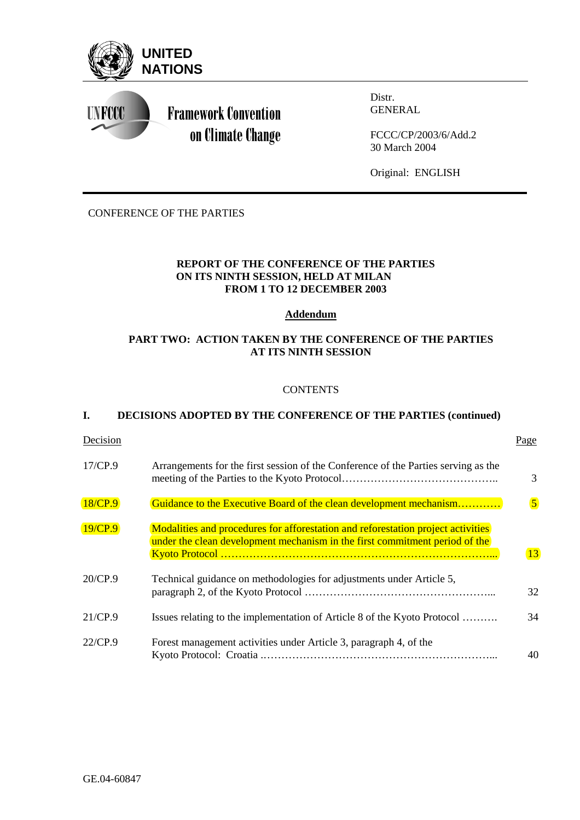

CONFERENCE OF THE PARTIES

## **REPORT OF THE CONFERENCE OF THE PARTIES ON ITS NINTH SESSION, HELD AT MILAN FROM 1 TO 12 DECEMBER 2003**

### **Addendum**

## **PART TWO: ACTION TAKEN BY THE CONFERENCE OF THE PARTIES AT ITS NINTH SESSION**

## **CONTENTS**

## **I. DECISIONS ADOPTED BY THE CONFERENCE OF THE PARTIES (continued)**

| Decision |                                                                                                                                                                 | Page           |
|----------|-----------------------------------------------------------------------------------------------------------------------------------------------------------------|----------------|
| 17/CP.9  | Arrangements for the first session of the Conference of the Parties serving as the                                                                              | 3              |
| 18/CP.9  | Guidance to the Executive Board of the clean development mechanism                                                                                              | $\overline{5}$ |
| 19/CP.9  | Modalities and procedures for afforestation and reforestation project activities<br>under the clean development mechanism in the first commitment period of the | 13             |
| 20/CP.9  | Technical guidance on methodologies for adjustments under Article 5,                                                                                            | 32             |
| 21/CP.9  | Issues relating to the implementation of Article 8 of the Kyoto Protocol                                                                                        | 34             |
| 22/CP.9  | Forest management activities under Article 3, paragraph 4, of the                                                                                               | 40             |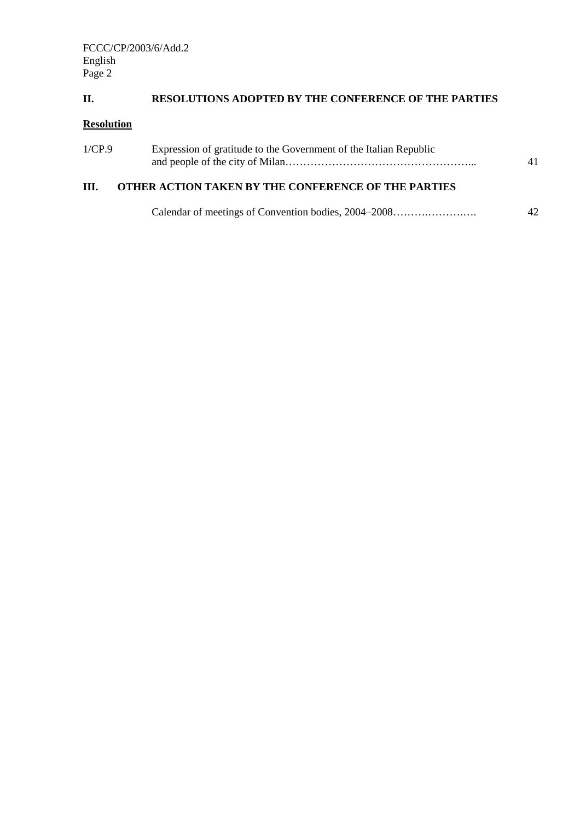# **II. RESOLUTIONS ADOPTED BY THE CONFERENCE OF THE PARTIES**

# **Resolution**

| 1/CP.9 | Expression of gratitude to the Government of the Italian Republic |    |
|--------|-------------------------------------------------------------------|----|
| III.   | <b>OTHER ACTION TAKEN BY THE CONFERENCE OF THE PARTIES</b>        |    |
|        | Calendar of meetings of Convention bodies, 2004–2008              | 42 |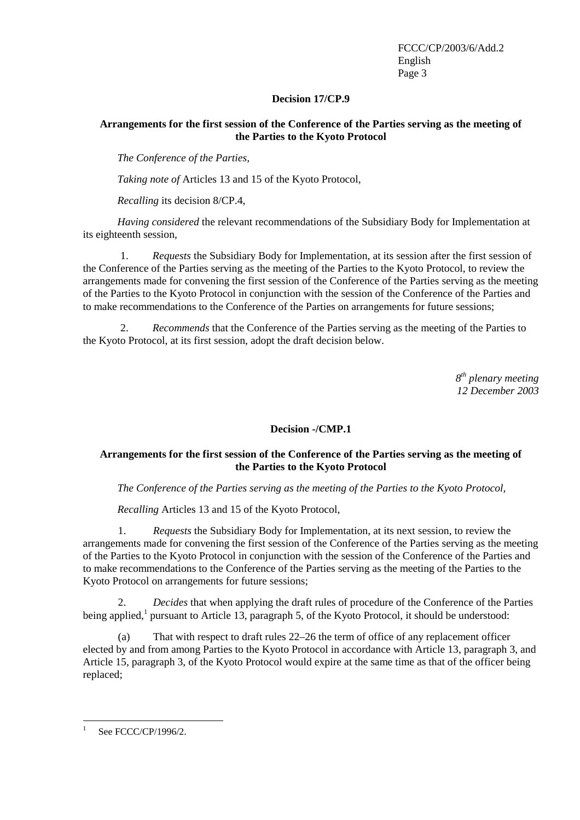### **Decision 17/CP.9**

## **Arrangements for the first session of the Conference of the Parties serving as the meeting of the Parties to the Kyoto Protocol**

*The Conference of the Parties,* 

*Taking note of* Articles 13 and 15 of the Kyoto Protocol,

*Recalling* its decision 8/CP.4,

*Having considered* the relevant recommendations of the Subsidiary Body for Implementation at its eighteenth session,

1. *Requests* the Subsidiary Body for Implementation, at its session after the first session of the Conference of the Parties serving as the meeting of the Parties to the Kyoto Protocol, to review the arrangements made for convening the first session of the Conference of the Parties serving as the meeting of the Parties to the Kyoto Protocol in conjunction with the session of the Conference of the Parties and to make recommendations to the Conference of the Parties on arrangements for future sessions;

2. *Recommends* that the Conference of the Parties serving as the meeting of the Parties to the Kyoto Protocol, at its first session, adopt the draft decision below.

> *8th plenary meeting 12 December 2003*

### **Decision -/CMP.1**

## **Arrangements for the first session of the Conference of the Parties serving as the meeting of the Parties to the Kyoto Protocol**

### *The Conference of the Parties serving as the meeting of the Parties to the Kyoto Protocol,*

*Recalling* Articles 13 and 15 of the Kyoto Protocol,

1. *Requests* the Subsidiary Body for Implementation, at its next session, to review the arrangements made for convening the first session of the Conference of the Parties serving as the meeting of the Parties to the Kyoto Protocol in conjunction with the session of the Conference of the Parties and to make recommendations to the Conference of the Parties serving as the meeting of the Parties to the Kyoto Protocol on arrangements for future sessions;

2. *Decides* that when applying the draft rules of procedure of the Conference of the Parties being applied,<sup>1</sup> pursuant to Article 13, paragraph 5, of the Kyoto Protocol, it should be understood:

(a) That with respect to draft rules 22–26 the term of office of any replacement officer elected by and from among Parties to the Kyoto Protocol in accordance with Article 13, paragraph 3, and Article 15, paragraph 3, of the Kyoto Protocol would expire at the same time as that of the officer being replaced;

 $\frac{1}{1}$ See FCCC/CP/1996/2.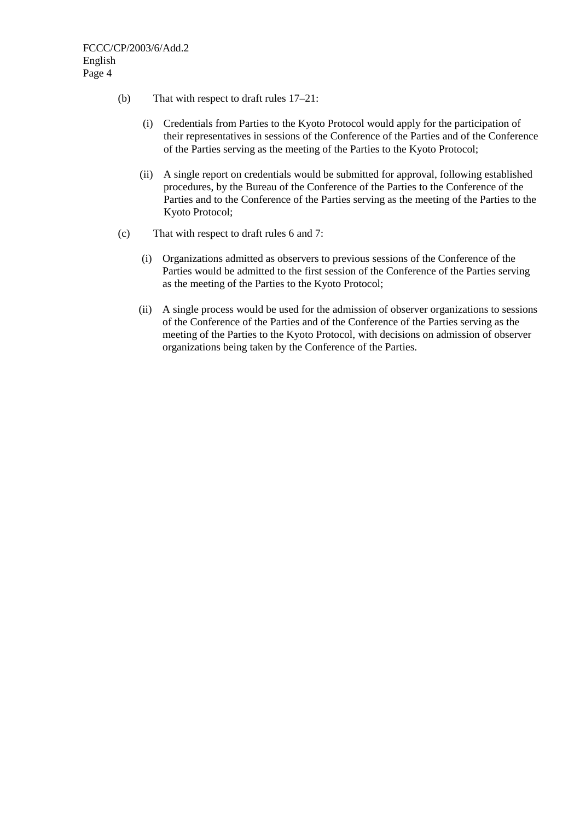- (b) That with respect to draft rules 17–21:
	- (i) Credentials from Parties to the Kyoto Protocol would apply for the participation of their representatives in sessions of the Conference of the Parties and of the Conference of the Parties serving as the meeting of the Parties to the Kyoto Protocol;
	- (ii) A single report on credentials would be submitted for approval, following established procedures, by the Bureau of the Conference of the Parties to the Conference of the Parties and to the Conference of the Parties serving as the meeting of the Parties to the Kyoto Protocol;
- (c) That with respect to draft rules 6 and 7:
	- (i) Organizations admitted as observers to previous sessions of the Conference of the Parties would be admitted to the first session of the Conference of the Parties serving as the meeting of the Parties to the Kyoto Protocol;
	- (ii) A single process would be used for the admission of observer organizations to sessions of the Conference of the Parties and of the Conference of the Parties serving as the meeting of the Parties to the Kyoto Protocol, with decisions on admission of observer organizations being taken by the Conference of the Parties.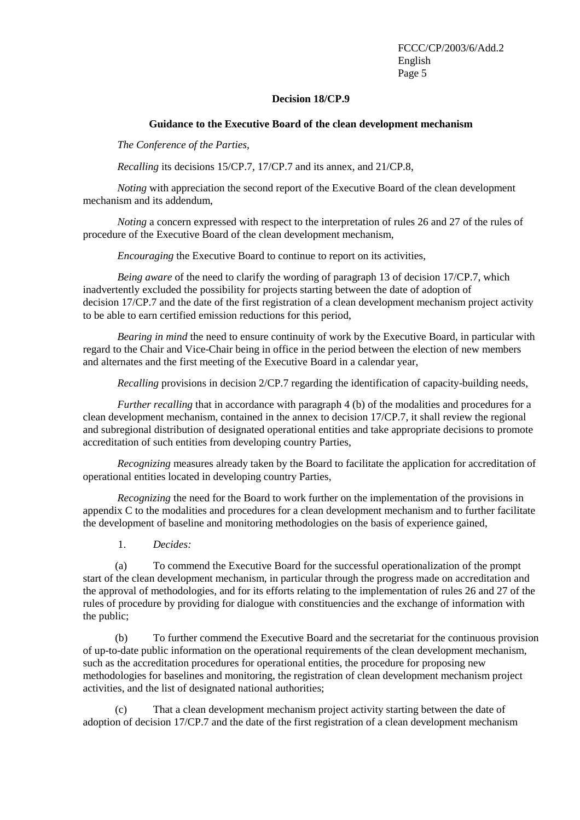#### **Decision 18/CP.9**

#### **Guidance to the Executive Board of the clean development mechanism**

<span id="page-4-0"></span>*The Conference of the Parties,* 

*Recalling* its decisions 15/CP.7, 17/CP.7 and its annex, and 21/CP.8,

*Noting* with appreciation the second report of the Executive Board of the clean development mechanism and its addendum,

*Noting* a concern expressed with respect to the interpretation of rules 26 and 27 of the rules of procedure of the Executive Board of the clean development mechanism,

*Encouraging* the Executive Board to continue to report on its activities,

*Being aware* of the need to clarify the wording of paragraph 13 of decision 17/CP.7, which inadvertently excluded the possibility for projects starting between the date of adoption of decision 17/CP.7 and the date of the first registration of a clean development mechanism project activity to be able to earn certified emission reductions for this period,

*Bearing in mind* the need to ensure continuity of work by the Executive Board, in particular with regard to the Chair and Vice-Chair being in office in the period between the election of new members and alternates and the first meeting of the Executive Board in a calendar year,

*Recalling* provisions in decision 2/CP.7 regarding the identification of capacity-building needs,

*Further recalling* that in accordance with paragraph 4 (b) of the modalities and procedures for a clean development mechanism, contained in the annex to decision 17/CP.7, it shall review the regional and subregional distribution of designated operational entities and take appropriate decisions to promote accreditation of such entities from developing country Parties,

*Recognizing* measures already taken by the Board to facilitate the application for accreditation of operational entities located in developing country Parties,

*Recognizing* the need for the Board to work further on the implementation of the provisions in appendix C to the modalities and procedures for a clean development mechanism and to further facilitate the development of baseline and monitoring methodologies on the basis of experience gained,

1. *Decides:*

(a) To commend the Executive Board for the successful operationalization of the prompt start of the clean development mechanism, in particular through the progress made on accreditation and the approval of methodologies, and for its efforts relating to the implementation of rules 26 and 27 of the rules of procedure by providing for dialogue with constituencies and the exchange of information with the public;

(b) To further commend the Executive Board and the secretariat for the continuous provision of up-to-date public information on the operational requirements of the clean development mechanism, such as the accreditation procedures for operational entities, the procedure for proposing new methodologies for baselines and monitoring, the registration of clean development mechanism project activities, and the list of designated national authorities;

(c) That a clean development mechanism project activity starting between the date of adoption of decision 17/CP.7 and the date of the first registration of a clean development mechanism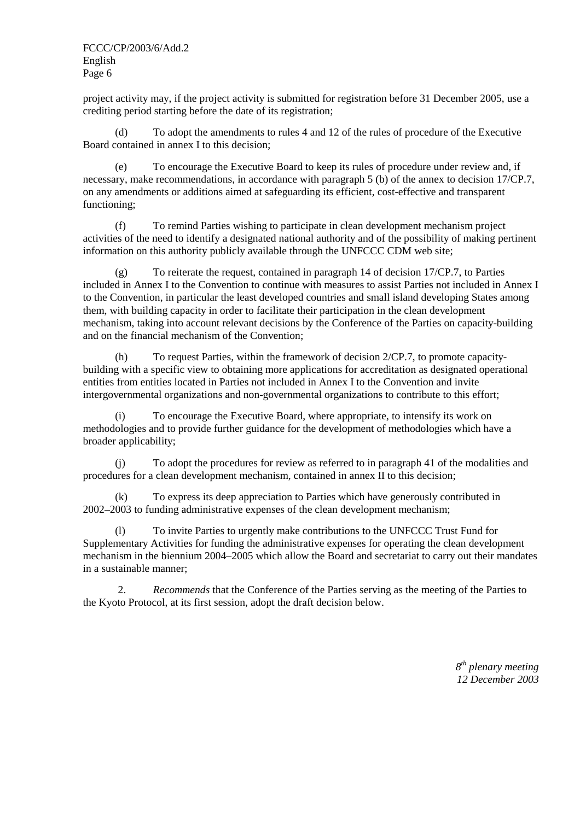project activity may, if the project activity is submitted for registration before 31 December 2005, use a crediting period starting before the date of its registration;

(d) To adopt the amendments to rules 4 and 12 of the rules of procedure of the Executive Board contained in annex I to this decision;

(e) To encourage the Executive Board to keep its rules of procedure under review and, if necessary, make recommendations, in accordance with paragraph 5 (b) of the annex to decision 17/CP.7, on any amendments or additions aimed at safeguarding its efficient, cost-effective and transparent functioning;

(f) To remind Parties wishing to participate in clean development mechanism project activities of the need to identify a designated national authority and of the possibility of making pertinent information on this authority publicly available through the UNFCCC CDM web site;

(g) To reiterate the request, contained in paragraph 14 of decision 17/CP.7, to Parties included in Annex I to the Convention to continue with measures to assist Parties not included in Annex I to the Convention, in particular the least developed countries and small island developing States among them, with building capacity in order to facilitate their participation in the clean development mechanism, taking into account relevant decisions by the Conference of the Parties on capacity-building and on the financial mechanism of the Convention;

(h) To request Parties, within the framework of decision 2/CP.7, to promote capacitybuilding with a specific view to obtaining more applications for accreditation as designated operational entities from entities located in Parties not included in Annex I to the Convention and invite intergovernmental organizations and non-governmental organizations to contribute to this effort;

(i) To encourage the Executive Board, where appropriate, to intensify its work on methodologies and to provide further guidance for the development of methodologies which have a broader applicability;

(j) To adopt the procedures for review as referred to in paragraph 41 of the modalities and procedures for a clean development mechanism, contained in annex II to this decision;

To express its deep appreciation to Parties which have generously contributed in 2002–2003 to funding administrative expenses of the clean development mechanism;

(l) To invite Parties to urgently make contributions to the UNFCCC Trust Fund for Supplementary Activities for funding the administrative expenses for operating the clean development mechanism in the biennium 2004–2005 which allow the Board and secretariat to carry out their mandates in a sustainable manner;

2. *Recommends* that the Conference of the Parties serving as the meeting of the Parties to the Kyoto Protocol, at its first session, adopt the draft decision below.

> *8th plenary meeting 12 December 2003*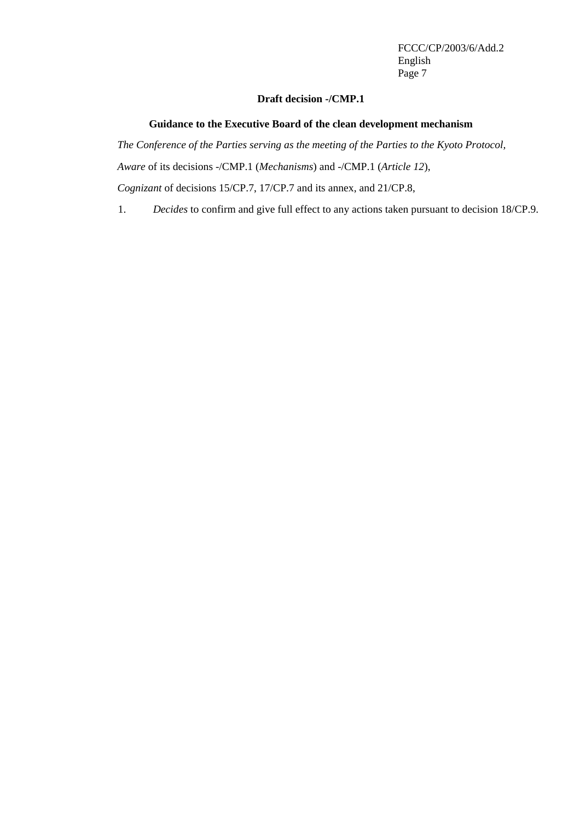#### **Draft decision -/CMP.1**

### **Guidance to the Executive Board of the clean development mechanism**

*The Conference of the Parties serving as the meeting of the Parties to the Kyoto Protocol, Aware* of its decisions -/CMP.1 (*Mechanisms*) and -/CMP.1 (*Article 12*), *Cognizant* of decisions 15/CP.7, 17/CP.7 and its annex, and 21/CP.8,

1. *Decides* to confirm and give full effect to any actions taken pursuant to decision 18/CP.9.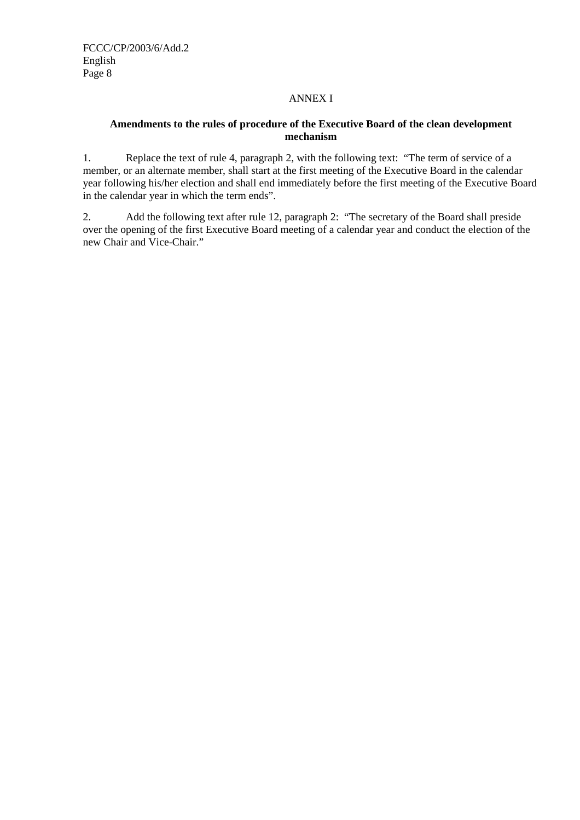## ANNEX I

## **Amendments to the rules of procedure of the Executive Board of the clean development mechanism**

1. Replace the text of rule 4, paragraph 2, with the following text: "The term of service of a member, or an alternate member, shall start at the first meeting of the Executive Board in the calendar year following his/her election and shall end immediately before the first meeting of the Executive Board in the calendar year in which the term ends".

2. Add the following text after rule 12, paragraph 2: "The secretary of the Board shall preside over the opening of the first Executive Board meeting of a calendar year and conduct the election of the new Chair and Vice-Chair."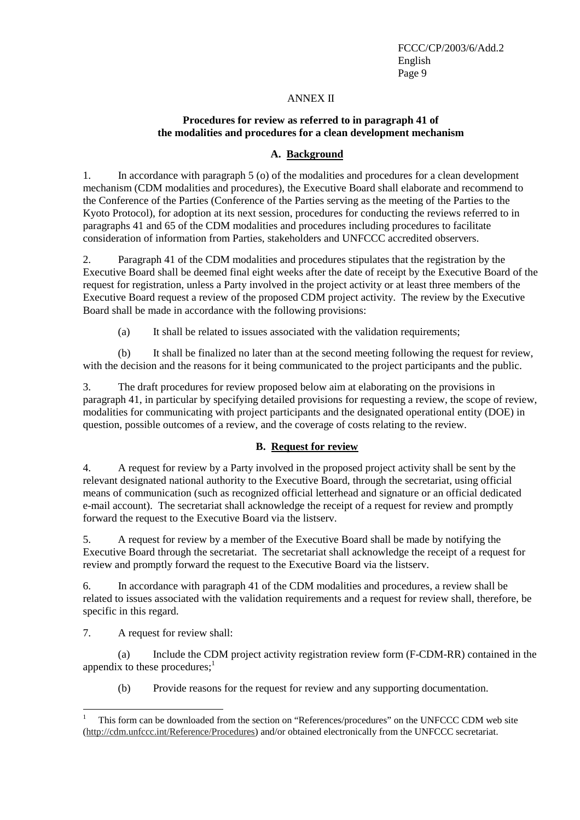#### ANNEX II

## **Procedures for review as referred to in paragraph 41 of the modalities and procedures for a clean development mechanism**

## **A. Background**

1. In accordance with paragraph 5 (o) of the modalities and procedures for a clean development mechanism (CDM modalities and procedures), the Executive Board shall elaborate and recommend to the Conference of the Parties (Conference of the Parties serving as the meeting of the Parties to the Kyoto Protocol), for adoption at its next session, procedures for conducting the reviews referred to in paragraphs 41 and 65 of the CDM modalities and procedures including procedures to facilitate consideration of information from Parties, stakeholders and UNFCCC accredited observers.

2. Paragraph 41 of the CDM modalities and procedures stipulates that the registration by the Executive Board shall be deemed final eight weeks after the date of receipt by the Executive Board of the request for registration, unless a Party involved in the project activity or at least three members of the Executive Board request a review of the proposed CDM project activity. The review by the Executive Board shall be made in accordance with the following provisions:

(a) It shall be related to issues associated with the validation requirements;

(b) It shall be finalized no later than at the second meeting following the request for review, with the decision and the reasons for it being communicated to the project participants and the public.

3. The draft procedures for review proposed below aim at elaborating on the provisions in paragraph 41, in particular by specifying detailed provisions for requesting a review, the scope of review, modalities for communicating with project participants and the designated operational entity (DOE) in question, possible outcomes of a review, and the coverage of costs relating to the review.

### **B. Request for review**

4. A request for review by a Party involved in the proposed project activity shall be sent by the relevant designated national authority to the Executive Board, through the secretariat, using official means of communication (such as recognized official letterhead and signature or an official dedicated e-mail account). The secretariat shall acknowledge the receipt of a request for review and promptly forward the request to the Executive Board via the listserv.

5. A request for review by a member of the Executive Board shall be made by notifying the Executive Board through the secretariat. The secretariat shall acknowledge the receipt of a request for review and promptly forward the request to the Executive Board via the listserv.

6. In accordance with paragraph 41 of the CDM modalities and procedures, a review shall be related to issues associated with the validation requirements and a request for review shall, therefore, be specific in this regard.

7. A request for review shall:

(a) Include the CDM project activity registration review form (F-CDM-RR) contained in the appendix to these procedures; $<sup>1</sup>$ </sup>

(b) Provide reasons for the request for review and any supporting documentation.

<sup>1</sup> This form can be downloaded from the section on "References/procedures" on the UNFCCC CDM web site [\(http://cdm.unfccc.int/Reference/Procedures\)](http://cdm.unfccc.int/Reference/Procedures) and/or obtained electronically from the UNFCCC secretariat.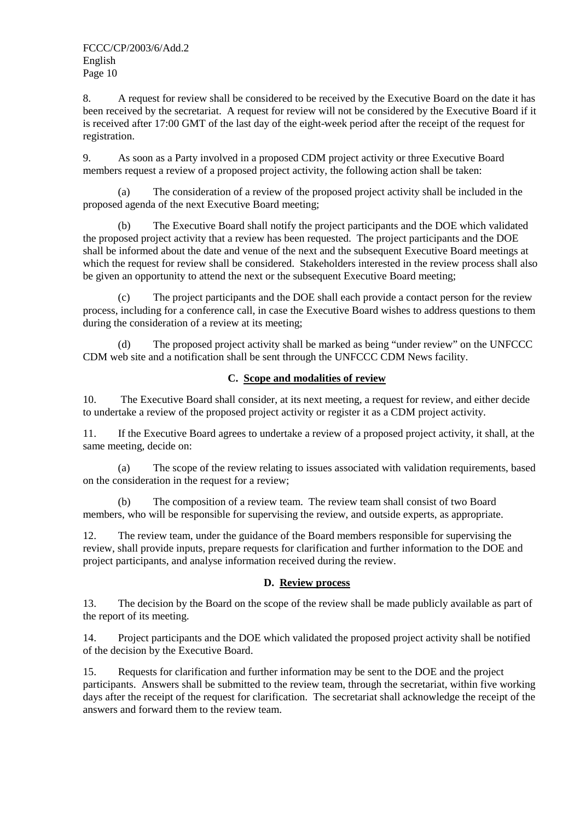8. A request for review shall be considered to be received by the Executive Board on the date it has been received by the secretariat. A request for review will not be considered by the Executive Board if it is received after 17:00 GMT of the last day of the eight-week period after the receipt of the request for registration.

9. As soon as a Party involved in a proposed CDM project activity or three Executive Board members request a review of a proposed project activity, the following action shall be taken:

(a) The consideration of a review of the proposed project activity shall be included in the proposed agenda of the next Executive Board meeting;

(b) The Executive Board shall notify the project participants and the DOE which validated the proposed project activity that a review has been requested. The project participants and the DOE shall be informed about the date and venue of the next and the subsequent Executive Board meetings at which the request for review shall be considered. Stakeholders interested in the review process shall also be given an opportunity to attend the next or the subsequent Executive Board meeting;

(c) The project participants and the DOE shall each provide a contact person for the review process, including for a conference call, in case the Executive Board wishes to address questions to them during the consideration of a review at its meeting;

The proposed project activity shall be marked as being "under review" on the UNFCCC CDM web site and a notification shall be sent through the UNFCCC CDM News facility.

## **C. Scope and modalities of review**

10. The Executive Board shall consider, at its next meeting, a request for review, and either decide to undertake a review of the proposed project activity or register it as a CDM project activity.

11. If the Executive Board agrees to undertake a review of a proposed project activity, it shall, at the same meeting, decide on:

(a) The scope of the review relating to issues associated with validation requirements, based on the consideration in the request for a review;

(b) The composition of a review team. The review team shall consist of two Board members, who will be responsible for supervising the review, and outside experts, as appropriate.

12. The review team, under the guidance of the Board members responsible for supervising the review, shall provide inputs, prepare requests for clarification and further information to the DOE and project participants, and analyse information received during the review.

## **D. Review process**

13. The decision by the Board on the scope of the review shall be made publicly available as part of the report of its meeting.

14. Project participants and the DOE which validated the proposed project activity shall be notified of the decision by the Executive Board.

15. Requests for clarification and further information may be sent to the DOE and the project participants. Answers shall be submitted to the review team, through the secretariat, within five working days after the receipt of the request for clarification. The secretariat shall acknowledge the receipt of the answers and forward them to the review team.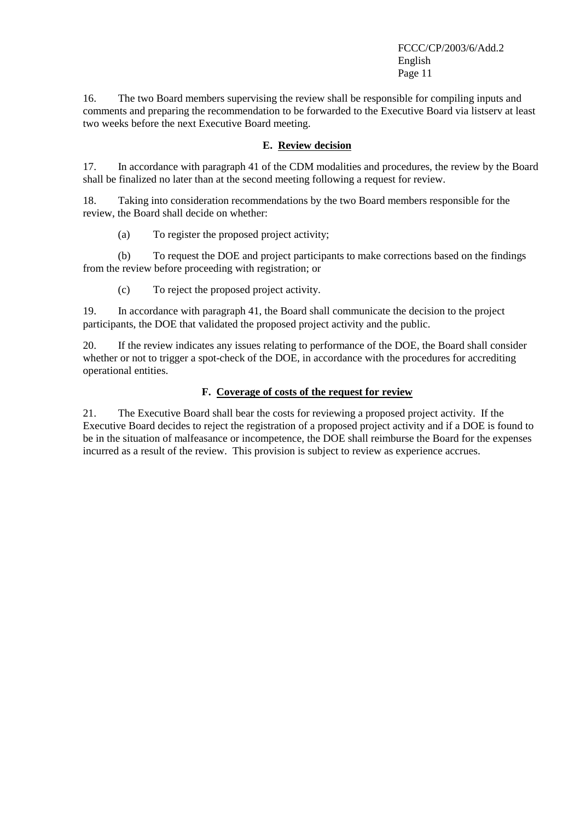16. The two Board members supervising the review shall be responsible for compiling inputs and comments and preparing the recommendation to be forwarded to the Executive Board via listserv at least two weeks before the next Executive Board meeting.

## **E. Review decision**

17. In accordance with paragraph 41 of the CDM modalities and procedures, the review by the Board shall be finalized no later than at the second meeting following a request for review.

18. Taking into consideration recommendations by the two Board members responsible for the review, the Board shall decide on whether:

(a) To register the proposed project activity;

(b) To request the DOE and project participants to make corrections based on the findings from the review before proceeding with registration; or

(c) To reject the proposed project activity.

19. In accordance with paragraph 41, the Board shall communicate the decision to the project participants, the DOE that validated the proposed project activity and the public.

20. If the review indicates any issues relating to performance of the DOE, the Board shall consider whether or not to trigger a spot-check of the DOE, in accordance with the procedures for accrediting operational entities.

## **F. Coverage of costs of the request for review**

21. The Executive Board shall bear the costs for reviewing a proposed project activity. If the Executive Board decides to reject the registration of a proposed project activity and if a DOE is found to be in the situation of malfeasance or incompetence, the DOE shall reimburse the Board for the expenses incurred as a result of the review. This provision is subject to review as experience accrues.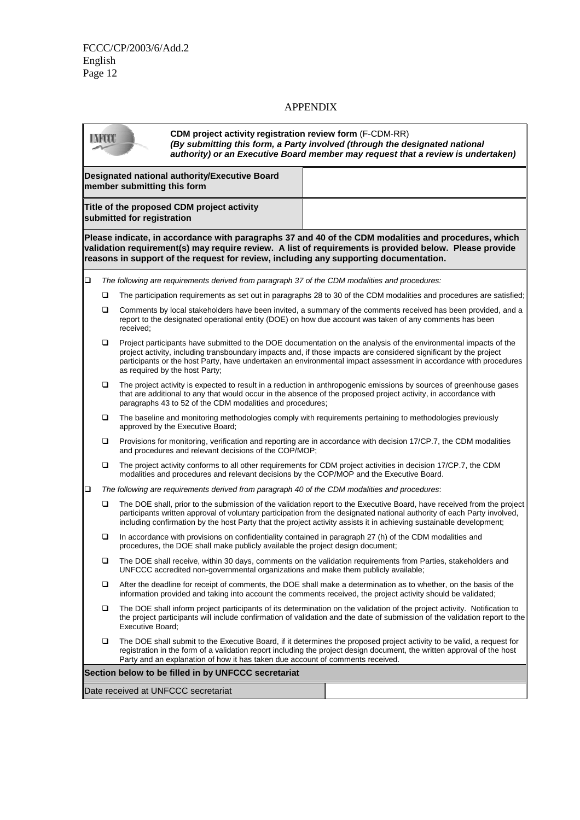## APPENDIX

| LAFOOT                                                                                                                                                                                                                                                                                                                                                                                           |        |                                                                                                | <b>CDM</b> project activity registration review form (F-CDM-RR)<br>(By submitting this form, a Party involved (through the designated national<br>authority) or an Executive Board member may request that a review is undertaken)     |                                                                                                                                                                                                                                                                                                                                                                          |  |  |
|--------------------------------------------------------------------------------------------------------------------------------------------------------------------------------------------------------------------------------------------------------------------------------------------------------------------------------------------------------------------------------------------------|--------|------------------------------------------------------------------------------------------------|----------------------------------------------------------------------------------------------------------------------------------------------------------------------------------------------------------------------------------------|--------------------------------------------------------------------------------------------------------------------------------------------------------------------------------------------------------------------------------------------------------------------------------------------------------------------------------------------------------------------------|--|--|
|                                                                                                                                                                                                                                                                                                                                                                                                  |        | member submitting this form                                                                    | Designated national authority/Executive Board                                                                                                                                                                                          |                                                                                                                                                                                                                                                                                                                                                                          |  |  |
|                                                                                                                                                                                                                                                                                                                                                                                                  |        | submitted for registration                                                                     | Title of the proposed CDM project activity                                                                                                                                                                                             |                                                                                                                                                                                                                                                                                                                                                                          |  |  |
| Please indicate, in accordance with paragraphs 37 and 40 of the CDM modalities and procedures, which<br>validation requirement(s) may require review. A list of requirements is provided below. Please provide<br>reasons in support of the request for review, including any supporting documentation.                                                                                          |        |                                                                                                |                                                                                                                                                                                                                                        |                                                                                                                                                                                                                                                                                                                                                                          |  |  |
| $\Box$                                                                                                                                                                                                                                                                                                                                                                                           |        |                                                                                                |                                                                                                                                                                                                                                        | The following are requirements derived from paragraph 37 of the CDM modalities and procedures:                                                                                                                                                                                                                                                                           |  |  |
|                                                                                                                                                                                                                                                                                                                                                                                                  | □      |                                                                                                |                                                                                                                                                                                                                                        | The participation requirements as set out in paragraphs 28 to 30 of the CDM modalities and procedures are satisfied;                                                                                                                                                                                                                                                     |  |  |
|                                                                                                                                                                                                                                                                                                                                                                                                  | □      | received;                                                                                      |                                                                                                                                                                                                                                        | Comments by local stakeholders have been invited, a summary of the comments received has been provided, and a<br>report to the designated operational entity (DOE) on how due account was taken of any comments has been                                                                                                                                                 |  |  |
| Project participants have submitted to the DOE documentation on the analysis of the environmental impacts of the<br>□<br>project activity, including transboundary impacts and, if those impacts are considered significant by the project<br>participants or the host Party, have undertaken an environmental impact assessment in accordance with procedures<br>as required by the host Party; |        |                                                                                                |                                                                                                                                                                                                                                        |                                                                                                                                                                                                                                                                                                                                                                          |  |  |
|                                                                                                                                                                                                                                                                                                                                                                                                  | □      | paragraphs 43 to 52 of the CDM modalities and procedures;                                      | The project activity is expected to result in a reduction in anthropogenic emissions by sources of greenhouse gases<br>that are additional to any that would occur in the absence of the proposed project activity, in accordance with |                                                                                                                                                                                                                                                                                                                                                                          |  |  |
|                                                                                                                                                                                                                                                                                                                                                                                                  | ❏      |                                                                                                | approved by the Executive Board;                                                                                                                                                                                                       | The baseline and monitoring methodologies comply with requirements pertaining to methodologies previously                                                                                                                                                                                                                                                                |  |  |
|                                                                                                                                                                                                                                                                                                                                                                                                  | □      |                                                                                                | and procedures and relevant decisions of the COP/MOP;                                                                                                                                                                                  | Provisions for monitoring, verification and reporting are in accordance with decision 17/CP.7, the CDM modalities                                                                                                                                                                                                                                                        |  |  |
|                                                                                                                                                                                                                                                                                                                                                                                                  | □      |                                                                                                |                                                                                                                                                                                                                                        | The project activity conforms to all other requirements for CDM project activities in decision 17/CP.7, the CDM<br>modalities and procedures and relevant decisions by the COP/MOP and the Executive Board.                                                                                                                                                              |  |  |
| ❏                                                                                                                                                                                                                                                                                                                                                                                                |        | The following are requirements derived from paragraph 40 of the CDM modalities and procedures: |                                                                                                                                                                                                                                        |                                                                                                                                                                                                                                                                                                                                                                          |  |  |
|                                                                                                                                                                                                                                                                                                                                                                                                  | □      |                                                                                                |                                                                                                                                                                                                                                        | The DOE shall, prior to the submission of the validation report to the Executive Board, have received from the project<br>participants written approval of voluntary participation from the designated national authority of each Party involved,<br>including confirmation by the host Party that the project activity assists it in achieving sustainable development; |  |  |
|                                                                                                                                                                                                                                                                                                                                                                                                  | □      |                                                                                                | procedures, the DOE shall make publicly available the project design document;                                                                                                                                                         | In accordance with provisions on confidentiality contained in paragraph 27 (h) of the CDM modalities and                                                                                                                                                                                                                                                                 |  |  |
|                                                                                                                                                                                                                                                                                                                                                                                                  | o.     |                                                                                                | UNFCCC accredited non-governmental organizations and make them publicly available;                                                                                                                                                     | The DOE shall receive, within 30 days, comments on the validation requirements from Parties, stakeholders and                                                                                                                                                                                                                                                            |  |  |
|                                                                                                                                                                                                                                                                                                                                                                                                  | □      |                                                                                                |                                                                                                                                                                                                                                        | After the deadline for receipt of comments, the DOE shall make a determination as to whether, on the basis of the<br>information provided and taking into account the comments received, the project activity should be validated;                                                                                                                                       |  |  |
|                                                                                                                                                                                                                                                                                                                                                                                                  | $\Box$ | <b>Executive Board:</b>                                                                        |                                                                                                                                                                                                                                        | The DOE shall inform project participants of its determination on the validation of the project activity. Notification to<br>the project participants will include confirmation of validation and the date of submission of the validation report to the                                                                                                                 |  |  |
| □<br>The DOE shall submit to the Executive Board, if it determines the proposed project activity to be valid, a request for<br>registration in the form of a validation report including the project design document, the written approval of the host<br>Party and an explanation of how it has taken due account of comments received.                                                         |        |                                                                                                |                                                                                                                                                                                                                                        |                                                                                                                                                                                                                                                                                                                                                                          |  |  |
| Section below to be filled in by UNFCCC secretariat                                                                                                                                                                                                                                                                                                                                              |        |                                                                                                |                                                                                                                                                                                                                                        |                                                                                                                                                                                                                                                                                                                                                                          |  |  |
| Date received at UNFCCC secretariat                                                                                                                                                                                                                                                                                                                                                              |        |                                                                                                |                                                                                                                                                                                                                                        |                                                                                                                                                                                                                                                                                                                                                                          |  |  |
|                                                                                                                                                                                                                                                                                                                                                                                                  |        |                                                                                                |                                                                                                                                                                                                                                        |                                                                                                                                                                                                                                                                                                                                                                          |  |  |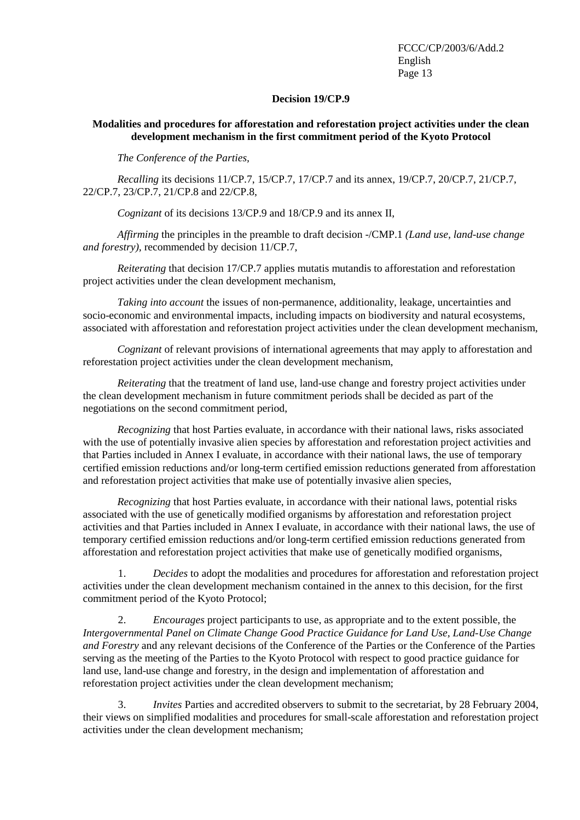#### **Decision 19/CP.9**

## <span id="page-12-0"></span>**Modalities and procedures for afforestation and reforestation project activities under the clean development mechanism in the first commitment period of the Kyoto Protocol**

*The Conference of the Parties,* 

*Recalling* its decisions 11/CP.7, 15/CP.7, 17/CP.7 and its annex, 19/CP.7, 20/CP.7, 21/CP.7, 22/CP.7, 23/CP.7, 21/CP.8 and 22/CP.8,

*Cognizant* of its decisions 13/CP.9 and 18/CP.9 and its annex II,

*Affirming* the principles in the preamble to draft decision -/CMP.1 *(Land use, land-use change and forestry),* recommended by decision 11/CP.7,

*Reiterating* that decision 17/CP.7 applies mutatis mutandis to afforestation and reforestation project activities under the clean development mechanism,

*Taking into account* the issues of non-permanence, additionality, leakage, uncertainties and socio-economic and environmental impacts, including impacts on biodiversity and natural ecosystems, associated with afforestation and reforestation project activities under the clean development mechanism,

*Cognizant* of relevant provisions of international agreements that may apply to afforestation and reforestation project activities under the clean development mechanism,

*Reiterating* that the treatment of land use, land-use change and forestry project activities under the clean development mechanism in future commitment periods shall be decided as part of the negotiations on the second commitment period,

*Recognizing* that host Parties evaluate, in accordance with their national laws, risks associated with the use of potentially invasive alien species by afforestation and reforestation project activities and that Parties included in Annex I evaluate, in accordance with their national laws, the use of temporary certified emission reductions and/or long-term certified emission reductions generated from afforestation and reforestation project activities that make use of potentially invasive alien species,

*Recognizing* that host Parties evaluate, in accordance with their national laws, potential risks associated with the use of genetically modified organisms by afforestation and reforestation project activities and that Parties included in Annex I evaluate, in accordance with their national laws, the use of temporary certified emission reductions and/or long-term certified emission reductions generated from afforestation and reforestation project activities that make use of genetically modified organisms,

1. *Decides* to adopt the modalities and procedures for afforestation and reforestation project activities under the clean development mechanism contained in the annex to this decision, for the first commitment period of the Kyoto Protocol;

2. *Encourages* project participants to use, as appropriate and to the extent possible, the *Intergovernmental Panel on Climate Change Good Practice Guidance for Land Use, Land-Use Change and Forestry* and any relevant decisions of the Conference of the Parties or the Conference of the Parties serving as the meeting of the Parties to the Kyoto Protocol with respect to good practice guidance for land use, land-use change and forestry, in the design and implementation of afforestation and reforestation project activities under the clean development mechanism;

3. *Invites* Parties and accredited observers to submit to the secretariat, by 28 February 2004, their views on simplified modalities and procedures for small-scale afforestation and reforestation project activities under the clean development mechanism;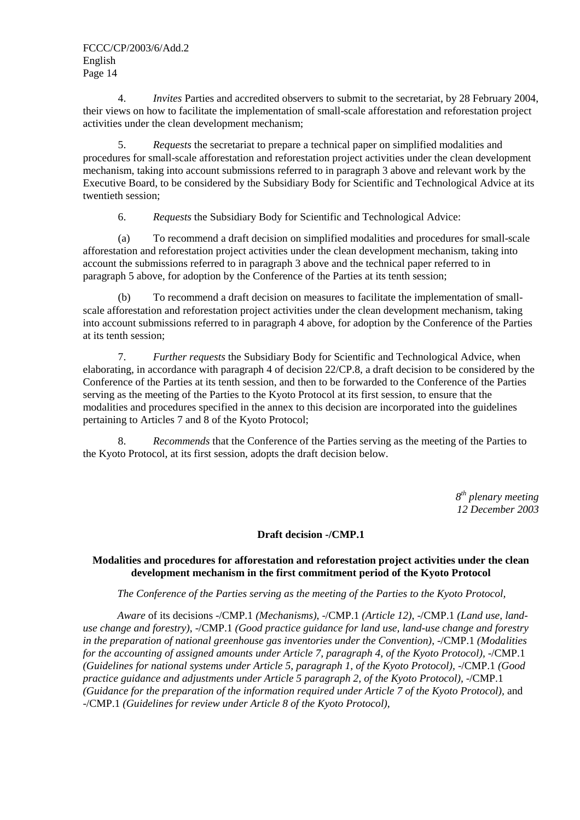4. *Invites* Parties and accredited observers to submit to the secretariat, by 28 February 2004, their views on how to facilitate the implementation of small-scale afforestation and reforestation project activities under the clean development mechanism;

5. *Requests* the secretariat to prepare a technical paper on simplified modalities and procedures for small-scale afforestation and reforestation project activities under the clean development mechanism, taking into account submissions referred to in paragraph 3 above and relevant work by the Executive Board, to be considered by the Subsidiary Body for Scientific and Technological Advice at its twentieth session;

6. *Requests* the Subsidiary Body for Scientific and Technological Advice:

(a) To recommend a draft decision on simplified modalities and procedures for small-scale afforestation and reforestation project activities under the clean development mechanism, taking into account the submissions referred to in paragraph 3 above and the technical paper referred to in paragraph 5 above, for adoption by the Conference of the Parties at its tenth session;

(b) To recommend a draft decision on measures to facilitate the implementation of smallscale afforestation and reforestation project activities under the clean development mechanism, taking into account submissions referred to in paragraph 4 above, for adoption by the Conference of the Parties at its tenth session;

7. *Further requests* the Subsidiary Body for Scientific and Technological Advice, when elaborating, in accordance with paragraph 4 of decision 22/CP.8, a draft decision to be considered by the Conference of the Parties at its tenth session, and then to be forwarded to the Conference of the Parties serving as the meeting of the Parties to the Kyoto Protocol at its first session, to ensure that the modalities and procedures specified in the annex to this decision are incorporated into the guidelines pertaining to Articles 7 and 8 of the Kyoto Protocol;

8. *Recommends* that the Conference of the Parties serving as the meeting of the Parties to the Kyoto Protocol, at its first session, adopts the draft decision below.

> *8th plenary meeting 12 December 2003*

### **Draft decision -/CMP.1**

## **Modalities and procedures for afforestation and reforestation project activities under the clean development mechanism in the first commitment period of the Kyoto Protocol**

*The Conference of the Parties serving as the meeting of the Parties to the Kyoto Protocol,* 

*Aware* of its decisions -/CMP.1 *(Mechanisms)*, -/CMP.1 *(Article 12)*, -/CMP.1 *(Land use, landuse change and forestry)*, -/CMP.1 *(Good practice guidance for land use, land-use change and forestry in the preparation of national greenhouse gas inventories under the Convention)*, -/CMP.1 *(Modalities for the accounting of assigned amounts under Article 7, paragraph 4, of the Kyoto Protocol),* -/CMP.1 *(Guidelines for national systems under Article 5, paragraph 1, of the Kyoto Protocol),* -/CMP.1 *(Good practice guidance and adjustments under Article 5 paragraph 2, of the Kyoto Protocol), -/CMP.1 (Guidance for the preparation of the information required under Article 7 of the Kyoto Protocol),* and -/CMP.1 *(Guidelines for review under Article 8 of the Kyoto Protocol),*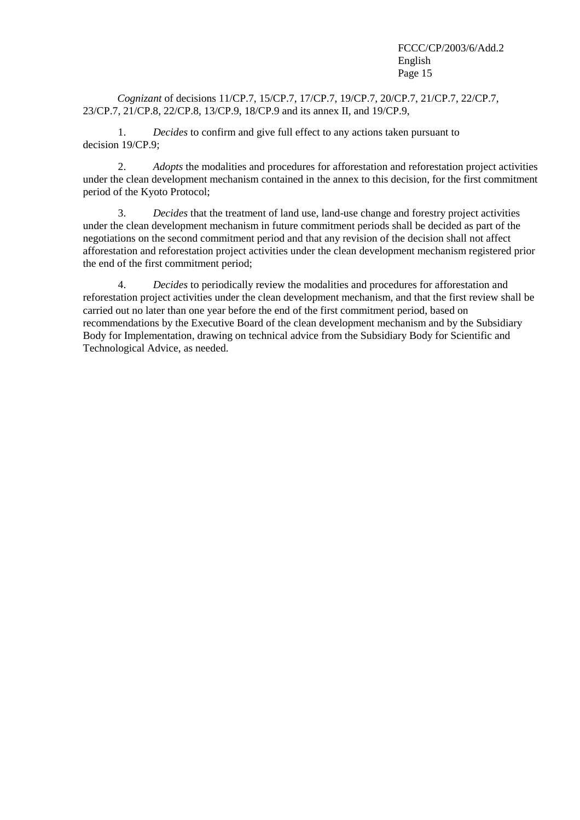*Cognizant* of decisions 11/CP.7, 15/CP.7, 17/CP.7, 19/CP.7, 20/CP.7, 21/CP.7, 22/CP.7, 23/CP.7, 21/CP.8, 22/CP.8, 13/CP.9, 18/CP.9 and its annex II, and 19/CP.9,

1. *Decides* to confirm and give full effect to any actions taken pursuant to decision 19/CP.9;

2. *Adopts* the modalities and procedures for afforestation and reforestation project activities under the clean development mechanism contained in the annex to this decision, for the first commitment period of the Kyoto Protocol;

3. *Decides* that the treatment of land use, land-use change and forestry project activities under the clean development mechanism in future commitment periods shall be decided as part of the negotiations on the second commitment period and that any revision of the decision shall not affect afforestation and reforestation project activities under the clean development mechanism registered prior the end of the first commitment period;

4. *Decides* to periodically review the modalities and procedures for afforestation and reforestation project activities under the clean development mechanism, and that the first review shall be carried out no later than one year before the end of the first commitment period, based on recommendations by the Executive Board of the clean development mechanism and by the Subsidiary Body for Implementation, drawing on technical advice from the Subsidiary Body for Scientific and Technological Advice, as needed.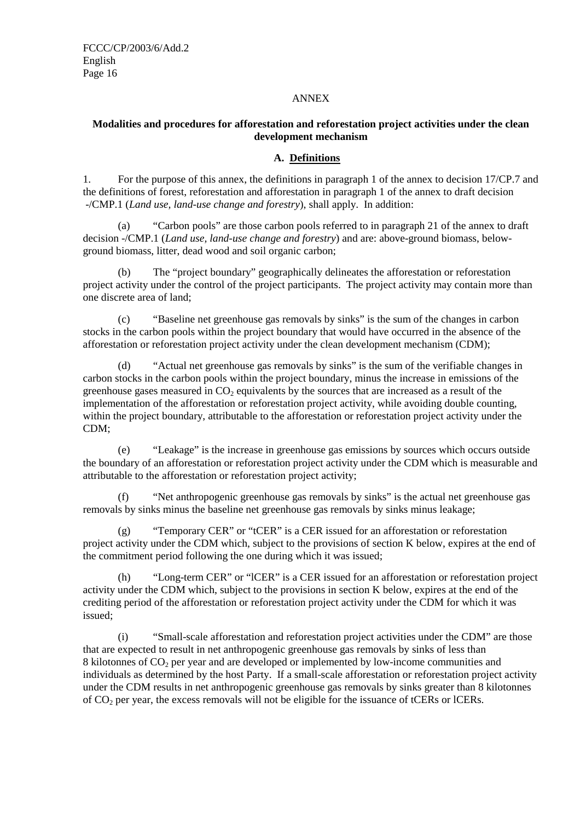### ANNEX

## **Modalities and procedures for afforestation and reforestation project activities under the clean development mechanism**

## **A. Definitions**

1. For the purpose of this annex, the definitions in paragraph 1 of the annex to decision 17/CP.7 and the definitions of forest, reforestation and afforestation in paragraph 1 of the annex to draft decision -/CMP.1 (*Land use, land-use change and forestry*), shall apply. In addition:

(a) "Carbon pools" are those carbon pools referred to in paragraph 21 of the annex to draft decision -/CMP.1 (*Land use, land-use change and forestry*) and are: above-ground biomass, belowground biomass, litter, dead wood and soil organic carbon;

(b) The "project boundary" geographically delineates the afforestation or reforestation project activity under the control of the project participants. The project activity may contain more than one discrete area of land;

(c) "Baseline net greenhouse gas removals by sinks" is the sum of the changes in carbon stocks in the carbon pools within the project boundary that would have occurred in the absence of the afforestation or reforestation project activity under the clean development mechanism (CDM);

(d) "Actual net greenhouse gas removals by sinks" is the sum of the verifiable changes in carbon stocks in the carbon pools within the project boundary, minus the increase in emissions of the greenhouse gases measured in  $CO<sub>2</sub>$  equivalents by the sources that are increased as a result of the implementation of the afforestation or reforestation project activity, while avoiding double counting, within the project boundary, attributable to the afforestation or reforestation project activity under the CDM;

(e) "Leakage" is the increase in greenhouse gas emissions by sources which occurs outside the boundary of an afforestation or reforestation project activity under the CDM which is measurable and attributable to the afforestation or reforestation project activity;

(f) "Net anthropogenic greenhouse gas removals by sinks" is the actual net greenhouse gas removals by sinks minus the baseline net greenhouse gas removals by sinks minus leakage;

(g) "Temporary CER" or "tCER" is a CER issued for an afforestation or reforestation project activity under the CDM which, subject to the provisions of section K below, expires at the end of the commitment period following the one during which it was issued;

(h) "Long-term CER" or "lCER" is a CER issued for an afforestation or reforestation project activity under the CDM which, subject to the provisions in section K below, expires at the end of the crediting period of the afforestation or reforestation project activity under the CDM for which it was issued;

(i) "Small-scale afforestation and reforestation project activities under the CDM" are those that are expected to result in net anthropogenic greenhouse gas removals by sinks of less than 8 kilotonnes of  $CO<sub>2</sub>$  per year and are developed or implemented by low-income communities and individuals as determined by the host Party. If a small-scale afforestation or reforestation project activity under the CDM results in net anthropogenic greenhouse gas removals by sinks greater than 8 kilotonnes of CO2 per year, the excess removals will not be eligible for the issuance of tCERs or lCERs.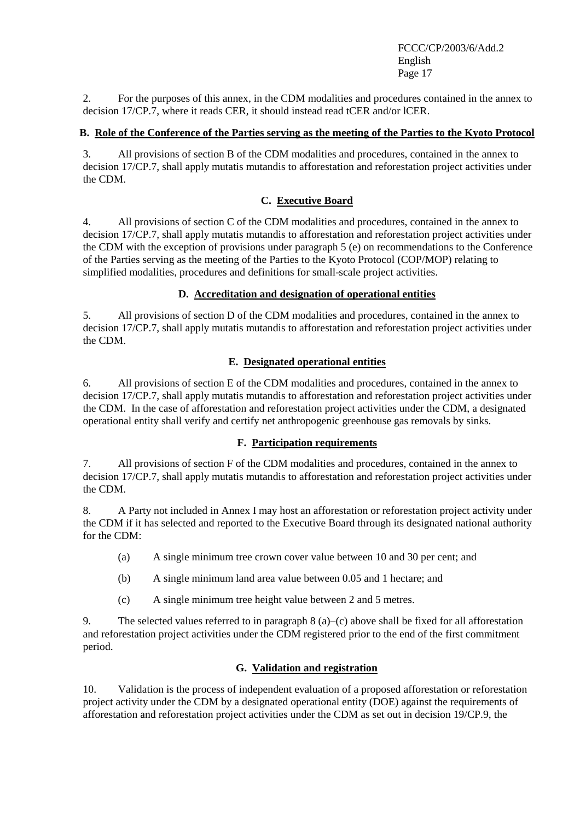2. For the purposes of this annex, in the CDM modalities and procedures contained in the annex to decision 17/CP.7, where it reads CER, it should instead read tCER and/or lCER.

## **B. Role of the Conference of the Parties serving as the meeting of the Parties to the Kyoto Protocol**

3. All provisions of section B of the CDM modalities and procedures, contained in the annex to decision 17/CP.7, shall apply mutatis mutandis to afforestation and reforestation project activities under the CDM.

## **C. Executive Board**

4. All provisions of section C of the CDM modalities and procedures, contained in the annex to decision 17/CP.7, shall apply mutatis mutandis to afforestation and reforestation project activities under the CDM with the exception of provisions under paragraph 5 (e) on recommendations to the Conference of the Parties serving as the meeting of the Parties to the Kyoto Protocol (COP/MOP) relating to simplified modalities, procedures and definitions for small-scale project activities.

## **D. Accreditation and designation of operational entities**

5. All provisions of section D of the CDM modalities and procedures, contained in the annex to decision 17/CP.7, shall apply mutatis mutandis to afforestation and reforestation project activities under the CDM.

## **E. Designated operational entities**

6. All provisions of section E of the CDM modalities and procedures, contained in the annex to decision 17/CP.7, shall apply mutatis mutandis to afforestation and reforestation project activities under the CDM. In the case of afforestation and reforestation project activities under the CDM, a designated operational entity shall verify and certify net anthropogenic greenhouse gas removals by sinks.

## **F. Participation requirements**

7. All provisions of section F of the CDM modalities and procedures, contained in the annex to decision 17/CP.7, shall apply mutatis mutandis to afforestation and reforestation project activities under the CDM.

8. A Party not included in Annex I may host an afforestation or reforestation project activity under the CDM if it has selected and reported to the Executive Board through its designated national authority for the CDM:

- (a) A single minimum tree crown cover value between 10 and 30 per cent; and
- (b) A single minimum land area value between 0.05 and 1 hectare; and
- (c) A single minimum tree height value between 2 and 5 metres.

9. The selected values referred to in paragraph  $8$  (a)–(c) above shall be fixed for all afforestation and reforestation project activities under the CDM registered prior to the end of the first commitment period.

### **G. Validation and registration**

10. Validation is the process of independent evaluation of a proposed afforestation or reforestation project activity under the CDM by a designated operational entity (DOE) against the requirements of afforestation and reforestation project activities under the CDM as set out in decision 19/CP.9, the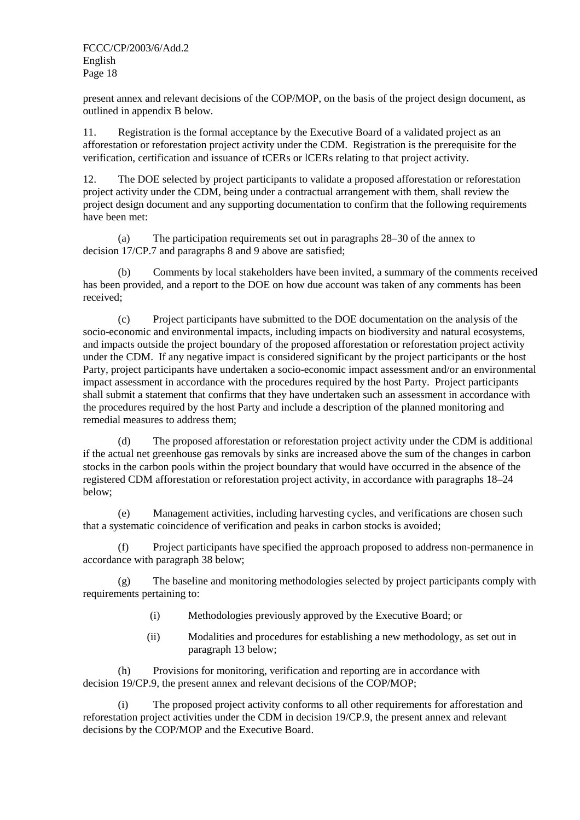present annex and relevant decisions of the COP/MOP, on the basis of the project design document, as outlined in appendix B below.

11. Registration is the formal acceptance by the Executive Board of a validated project as an afforestation or reforestation project activity under the CDM. Registration is the prerequisite for the verification, certification and issuance of tCERs or lCERs relating to that project activity.

12. The DOE selected by project participants to validate a proposed afforestation or reforestation project activity under the CDM, being under a contractual arrangement with them, shall review the project design document and any supporting documentation to confirm that the following requirements have been met:

(a) The participation requirements set out in paragraphs 28–30 of the annex to decision 17/CP.7 and paragraphs 8 and 9 above are satisfied;

(b) Comments by local stakeholders have been invited, a summary of the comments received has been provided, and a report to the DOE on how due account was taken of any comments has been received;

(c) Project participants have submitted to the DOE documentation on the analysis of the socio-economic and environmental impacts, including impacts on biodiversity and natural ecosystems, and impacts outside the project boundary of the proposed afforestation or reforestation project activity under the CDM. If any negative impact is considered significant by the project participants or the host Party, project participants have undertaken a socio-economic impact assessment and/or an environmental impact assessment in accordance with the procedures required by the host Party. Project participants shall submit a statement that confirms that they have undertaken such an assessment in accordance with the procedures required by the host Party and include a description of the planned monitoring and remedial measures to address them;

(d) The proposed afforestation or reforestation project activity under the CDM is additional if the actual net greenhouse gas removals by sinks are increased above the sum of the changes in carbon stocks in the carbon pools within the project boundary that would have occurred in the absence of the registered CDM afforestation or reforestation project activity, in accordance with paragraphs 18–24 below;

(e) Management activities, including harvesting cycles, and verifications are chosen such that a systematic coincidence of verification and peaks in carbon stocks is avoided;

(f) Project participants have specified the approach proposed to address non-permanence in accordance with paragraph 38 below;

(g) The baseline and monitoring methodologies selected by project participants comply with requirements pertaining to:

- (i) Methodologies previously approved by the Executive Board; or
- (ii) Modalities and procedures for establishing a new methodology, as set out in paragraph 13 below;

(h) Provisions for monitoring, verification and reporting are in accordance with decision 19/CP.9, the present annex and relevant decisions of the COP/MOP;

(i) The proposed project activity conforms to all other requirements for afforestation and reforestation project activities under the CDM in decision 19/CP.9, the present annex and relevant decisions by the COP/MOP and the Executive Board.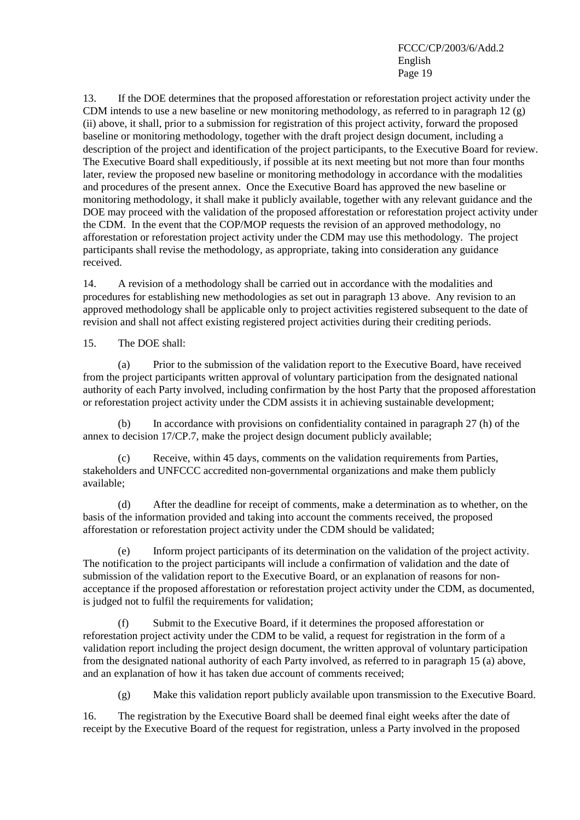13. If the DOE determines that the proposed afforestation or reforestation project activity under the CDM intends to use a new baseline or new monitoring methodology, as referred to in paragraph 12 (g) (ii) above, it shall, prior to a submission for registration of this project activity, forward the proposed baseline or monitoring methodology, together with the draft project design document, including a description of the project and identification of the project participants, to the Executive Board for review. The Executive Board shall expeditiously, if possible at its next meeting but not more than four months later, review the proposed new baseline or monitoring methodology in accordance with the modalities and procedures of the present annex. Once the Executive Board has approved the new baseline or monitoring methodology, it shall make it publicly available, together with any relevant guidance and the DOE may proceed with the validation of the proposed afforestation or reforestation project activity under the CDM. In the event that the COP/MOP requests the revision of an approved methodology, no afforestation or reforestation project activity under the CDM may use this methodology. The project participants shall revise the methodology, as appropriate, taking into consideration any guidance received.

14. A revision of a methodology shall be carried out in accordance with the modalities and procedures for establishing new methodologies as set out in paragraph 13 above. Any revision to an approved methodology shall be applicable only to project activities registered subsequent to the date of revision and shall not affect existing registered project activities during their crediting periods.

15. The DOE shall:

(a) Prior to the submission of the validation report to the Executive Board, have received from the project participants written approval of voluntary participation from the designated national authority of each Party involved, including confirmation by the host Party that the proposed afforestation or reforestation project activity under the CDM assists it in achieving sustainable development;

(b) In accordance with provisions on confidentiality contained in paragraph 27 (h) of the annex to decision 17/CP.7, make the project design document publicly available;

(c) Receive, within 45 days, comments on the validation requirements from Parties, stakeholders and UNFCCC accredited non-governmental organizations and make them publicly available;

(d) After the deadline for receipt of comments, make a determination as to whether, on the basis of the information provided and taking into account the comments received, the proposed afforestation or reforestation project activity under the CDM should be validated;

(e) Inform project participants of its determination on the validation of the project activity. The notification to the project participants will include a confirmation of validation and the date of submission of the validation report to the Executive Board, or an explanation of reasons for nonacceptance if the proposed afforestation or reforestation project activity under the CDM, as documented, is judged not to fulfil the requirements for validation;

(f) Submit to the Executive Board, if it determines the proposed afforestation or reforestation project activity under the CDM to be valid, a request for registration in the form of a validation report including the project design document, the written approval of voluntary participation from the designated national authority of each Party involved, as referred to in paragraph 15 (a) above, and an explanation of how it has taken due account of comments received;

(g) Make this validation report publicly available upon transmission to the Executive Board.

16. The registration by the Executive Board shall be deemed final eight weeks after the date of receipt by the Executive Board of the request for registration, unless a Party involved in the proposed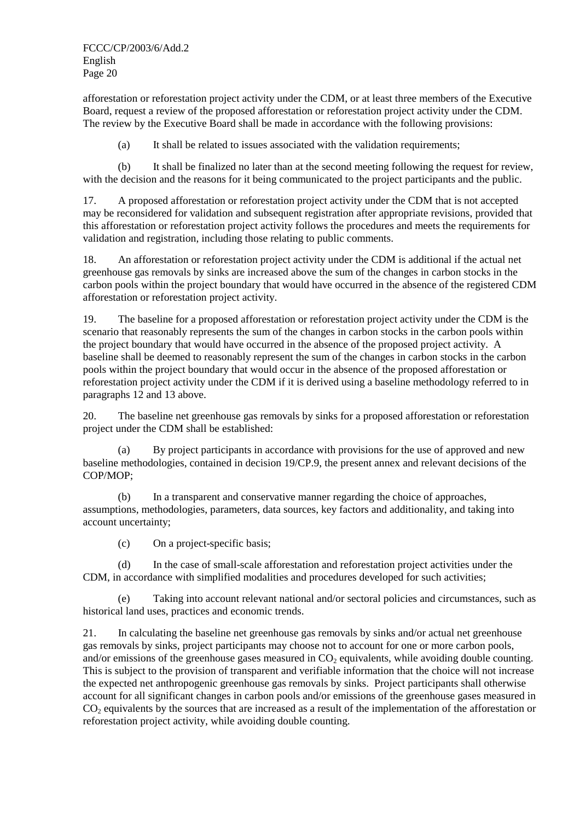afforestation or reforestation project activity under the CDM, or at least three members of the Executive Board, request a review of the proposed afforestation or reforestation project activity under the CDM. The review by the Executive Board shall be made in accordance with the following provisions:

(a) It shall be related to issues associated with the validation requirements;

(b) It shall be finalized no later than at the second meeting following the request for review, with the decision and the reasons for it being communicated to the project participants and the public.

17. A proposed afforestation or reforestation project activity under the CDM that is not accepted may be reconsidered for validation and subsequent registration after appropriate revisions, provided that this afforestation or reforestation project activity follows the procedures and meets the requirements for validation and registration, including those relating to public comments.

18. An afforestation or reforestation project activity under the CDM is additional if the actual net greenhouse gas removals by sinks are increased above the sum of the changes in carbon stocks in the carbon pools within the project boundary that would have occurred in the absence of the registered CDM afforestation or reforestation project activity.

19. The baseline for a proposed afforestation or reforestation project activity under the CDM is the scenario that reasonably represents the sum of the changes in carbon stocks in the carbon pools within the project boundary that would have occurred in the absence of the proposed project activity. A baseline shall be deemed to reasonably represent the sum of the changes in carbon stocks in the carbon pools within the project boundary that would occur in the absence of the proposed afforestation or reforestation project activity under the CDM if it is derived using a baseline methodology referred to in paragraphs 12 and 13 above.

20. The baseline net greenhouse gas removals by sinks for a proposed afforestation or reforestation project under the CDM shall be established:

(a) By project participants in accordance with provisions for the use of approved and new baseline methodologies, contained in decision 19/CP.9, the present annex and relevant decisions of the COP/MOP;

(b) In a transparent and conservative manner regarding the choice of approaches, assumptions, methodologies, parameters, data sources, key factors and additionality, and taking into account uncertainty;

(c) On a project-specific basis;

(d) In the case of small-scale afforestation and reforestation project activities under the CDM, in accordance with simplified modalities and procedures developed for such activities;

(e) Taking into account relevant national and/or sectoral policies and circumstances, such as historical land uses, practices and economic trends.

21. In calculating the baseline net greenhouse gas removals by sinks and/or actual net greenhouse gas removals by sinks, project participants may choose not to account for one or more carbon pools, and/or emissions of the greenhouse gases measured in  $CO<sub>2</sub>$  equivalents, while avoiding double counting. This is subject to the provision of transparent and verifiable information that the choice will not increase the expected net anthropogenic greenhouse gas removals by sinks. Project participants shall otherwise account for all significant changes in carbon pools and/or emissions of the greenhouse gases measured in  $CO<sub>2</sub>$  equivalents by the sources that are increased as a result of the implementation of the afforestation or reforestation project activity, while avoiding double counting.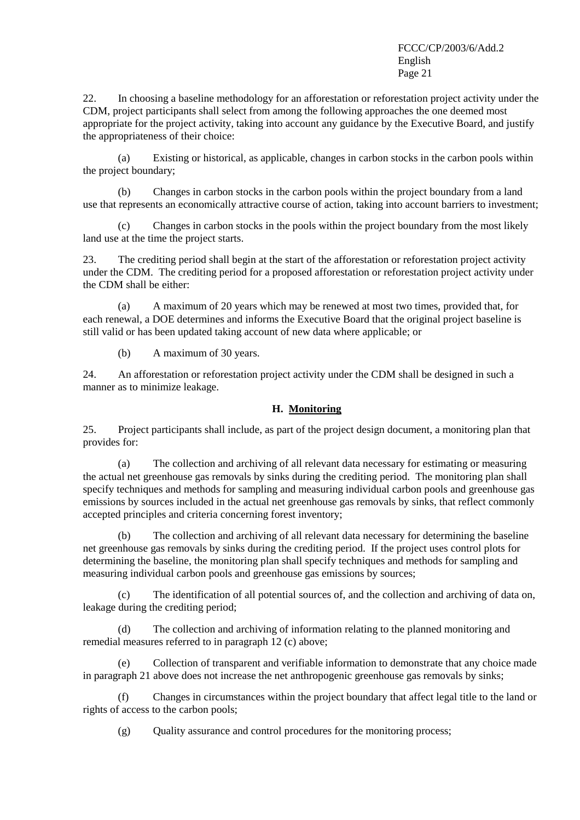22. In choosing a baseline methodology for an afforestation or reforestation project activity under the CDM, project participants shall select from among the following approaches the one deemed most appropriate for the project activity, taking into account any guidance by the Executive Board, and justify the appropriateness of their choice:

(a) Existing or historical, as applicable, changes in carbon stocks in the carbon pools within the project boundary;

(b) Changes in carbon stocks in the carbon pools within the project boundary from a land use that represents an economically attractive course of action, taking into account barriers to investment;

(c) Changes in carbon stocks in the pools within the project boundary from the most likely land use at the time the project starts.

23. The crediting period shall begin at the start of the afforestation or reforestation project activity under the CDM. The crediting period for a proposed afforestation or reforestation project activity under the CDM shall be either:

(a) A maximum of 20 years which may be renewed at most two times, provided that, for each renewal, a DOE determines and informs the Executive Board that the original project baseline is still valid or has been updated taking account of new data where applicable; or

(b) A maximum of 30 years.

24. An afforestation or reforestation project activity under the CDM shall be designed in such a manner as to minimize leakage.

## **H. Monitoring**

25. Project participants shall include, as part of the project design document, a monitoring plan that provides for:

(a) The collection and archiving of all relevant data necessary for estimating or measuring the actual net greenhouse gas removals by sinks during the crediting period. The monitoring plan shall specify techniques and methods for sampling and measuring individual carbon pools and greenhouse gas emissions by sources included in the actual net greenhouse gas removals by sinks, that reflect commonly accepted principles and criteria concerning forest inventory;

(b) The collection and archiving of all relevant data necessary for determining the baseline net greenhouse gas removals by sinks during the crediting period. If the project uses control plots for determining the baseline, the monitoring plan shall specify techniques and methods for sampling and measuring individual carbon pools and greenhouse gas emissions by sources;

(c) The identification of all potential sources of, and the collection and archiving of data on, leakage during the crediting period;

(d) The collection and archiving of information relating to the planned monitoring and remedial measures referred to in paragraph 12 (c) above;

(e) Collection of transparent and verifiable information to demonstrate that any choice made in paragraph 21 above does not increase the net anthropogenic greenhouse gas removals by sinks;

(f) Changes in circumstances within the project boundary that affect legal title to the land or rights of access to the carbon pools;

 $(g)$  Quality assurance and control procedures for the monitoring process;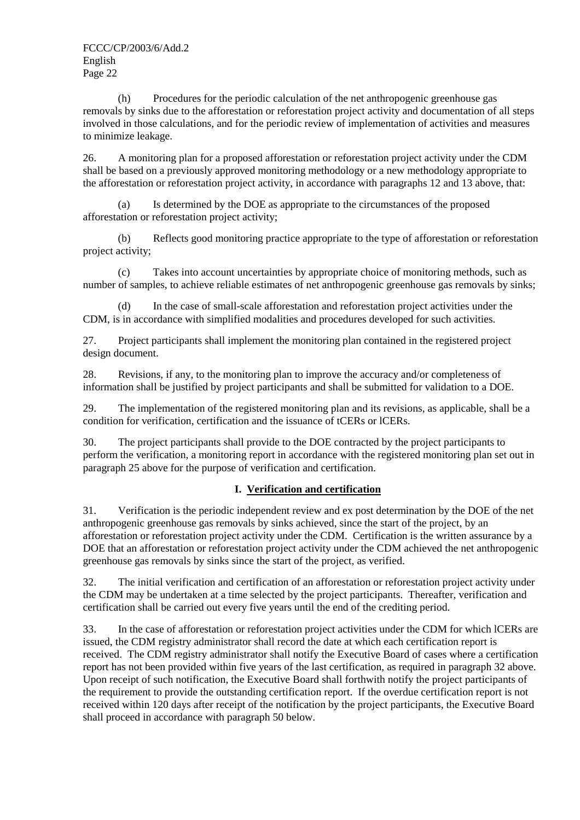(h) Procedures for the periodic calculation of the net anthropogenic greenhouse gas removals by sinks due to the afforestation or reforestation project activity and documentation of all steps involved in those calculations, and for the periodic review of implementation of activities and measures to minimize leakage.

26. A monitoring plan for a proposed afforestation or reforestation project activity under the CDM shall be based on a previously approved monitoring methodology or a new methodology appropriate to the afforestation or reforestation project activity, in accordance with paragraphs 12 and 13 above, that:

(a) Is determined by the DOE as appropriate to the circumstances of the proposed afforestation or reforestation project activity;

(b) Reflects good monitoring practice appropriate to the type of afforestation or reforestation project activity;

(c) Takes into account uncertainties by appropriate choice of monitoring methods, such as number of samples, to achieve reliable estimates of net anthropogenic greenhouse gas removals by sinks;

(d) In the case of small-scale afforestation and reforestation project activities under the CDM, is in accordance with simplified modalities and procedures developed for such activities.

27. Project participants shall implement the monitoring plan contained in the registered project design document.

28. Revisions, if any, to the monitoring plan to improve the accuracy and/or completeness of information shall be justified by project participants and shall be submitted for validation to a DOE.

29. The implementation of the registered monitoring plan and its revisions, as applicable, shall be a condition for verification, certification and the issuance of tCERs or lCERs.

30. The project participants shall provide to the DOE contracted by the project participants to perform the verification, a monitoring report in accordance with the registered monitoring plan set out in paragraph 25 above for the purpose of verification and certification.

## **I. Verification and certification**

31. Verification is the periodic independent review and ex post determination by the DOE of the net anthropogenic greenhouse gas removals by sinks achieved, since the start of the project, by an afforestation or reforestation project activity under the CDM. Certification is the written assurance by a DOE that an afforestation or reforestation project activity under the CDM achieved the net anthropogenic greenhouse gas removals by sinks since the start of the project, as verified.

32. The initial verification and certification of an afforestation or reforestation project activity under the CDM may be undertaken at a time selected by the project participants. Thereafter, verification and certification shall be carried out every five years until the end of the crediting period.

33. In the case of afforestation or reforestation project activities under the CDM for which lCERs are issued, the CDM registry administrator shall record the date at which each certification report is received. The CDM registry administrator shall notify the Executive Board of cases where a certification report has not been provided within five years of the last certification, as required in paragraph 32 above. Upon receipt of such notification, the Executive Board shall forthwith notify the project participants of the requirement to provide the outstanding certification report. If the overdue certification report is not received within 120 days after receipt of the notification by the project participants, the Executive Board shall proceed in accordance with paragraph 50 below.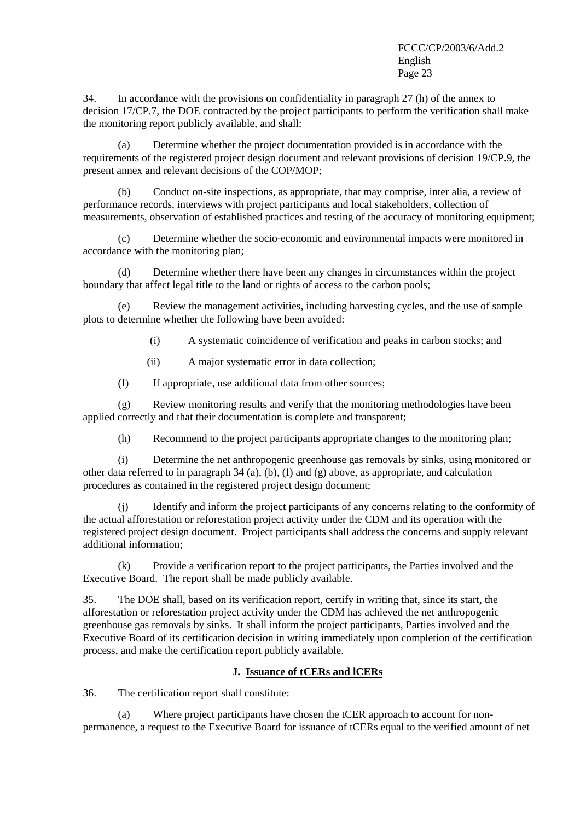34. In accordance with the provisions on confidentiality in paragraph 27 (h) of the annex to decision 17/CP.7, the DOE contracted by the project participants to perform the verification shall make the monitoring report publicly available, and shall:

(a) Determine whether the project documentation provided is in accordance with the requirements of the registered project design document and relevant provisions of decision 19/CP.9, the present annex and relevant decisions of the COP/MOP;

(b) Conduct on-site inspections, as appropriate, that may comprise, inter alia, a review of performance records, interviews with project participants and local stakeholders, collection of measurements, observation of established practices and testing of the accuracy of monitoring equipment;

(c) Determine whether the socio-economic and environmental impacts were monitored in accordance with the monitoring plan;

(d) Determine whether there have been any changes in circumstances within the project boundary that affect legal title to the land or rights of access to the carbon pools;

(e) Review the management activities, including harvesting cycles, and the use of sample plots to determine whether the following have been avoided:

- (i) A systematic coincidence of verification and peaks in carbon stocks; and
- (ii) A major systematic error in data collection;

(f) If appropriate, use additional data from other sources;

(g) Review monitoring results and verify that the monitoring methodologies have been applied correctly and that their documentation is complete and transparent;

(h) Recommend to the project participants appropriate changes to the monitoring plan;

(i) Determine the net anthropogenic greenhouse gas removals by sinks, using monitored or other data referred to in paragraph  $34$  (a), (b), (f) and (g) above, as appropriate, and calculation procedures as contained in the registered project design document;

(j) Identify and inform the project participants of any concerns relating to the conformity of the actual afforestation or reforestation project activity under the CDM and its operation with the registered project design document. Project participants shall address the concerns and supply relevant additional information;

(k) Provide a verification report to the project participants, the Parties involved and the Executive Board. The report shall be made publicly available.

35. The DOE shall, based on its verification report, certify in writing that, since its start, the afforestation or reforestation project activity under the CDM has achieved the net anthropogenic greenhouse gas removals by sinks. It shall inform the project participants, Parties involved and the Executive Board of its certification decision in writing immediately upon completion of the certification process, and make the certification report publicly available.

## **J. Issuance of tCERs and lCERs**

36. The certification report shall constitute:

(a) Where project participants have chosen the tCER approach to account for nonpermanence, a request to the Executive Board for issuance of tCERs equal to the verified amount of net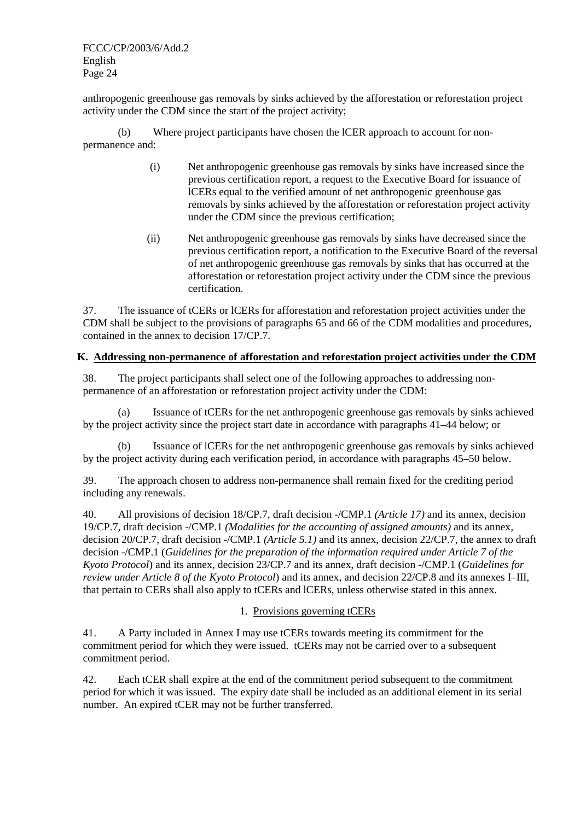anthropogenic greenhouse gas removals by sinks achieved by the afforestation or reforestation project activity under the CDM since the start of the project activity;

(b) Where project participants have chosen the lCER approach to account for nonpermanence and:

- (i) Net anthropogenic greenhouse gas removals by sinks have increased since the previous certification report, a request to the Executive Board for issuance of lCERs equal to the verified amount of net anthropogenic greenhouse gas removals by sinks achieved by the afforestation or reforestation project activity under the CDM since the previous certification;
- (ii) Net anthropogenic greenhouse gas removals by sinks have decreased since the previous certification report, a notification to the Executive Board of the reversal of net anthropogenic greenhouse gas removals by sinks that has occurred at the afforestation or reforestation project activity under the CDM since the previous certification.

37. The issuance of tCERs or lCERs for afforestation and reforestation project activities under the CDM shall be subject to the provisions of paragraphs 65 and 66 of the CDM modalities and procedures, contained in the annex to decision 17/CP.7.

## **K. Addressing non-permanence of afforestation and reforestation project activities under the CDM**

38. The project participants shall select one of the following approaches to addressing nonpermanence of an afforestation or reforestation project activity under the CDM:

(a) Issuance of tCERs for the net anthropogenic greenhouse gas removals by sinks achieved by the project activity since the project start date in accordance with paragraphs 41–44 below; or

(b) Issuance of lCERs for the net anthropogenic greenhouse gas removals by sinks achieved by the project activity during each verification period, in accordance with paragraphs 45–50 below.

39. The approach chosen to address non-permanence shall remain fixed for the crediting period including any renewals.

40. All provisions of decision 18/CP.7, draft decision -/CMP.1 *(Article 17)* and its annex, decision 19/CP.7, draft decision -/CMP.1 *(Modalities for the accounting of assigned amounts)* and its annex*,*  decision 20/CP.7, draft decision -/CMP.1 *(Article 5.1)* and its annex, decision 22/CP.7, the annex to draft decision -/CMP.1 (*Guidelines for the preparation of the information required under Article 7 of the Kyoto Protocol*) and its annex, decision 23/CP.7 and its annex, draft decision -/CMP.1 (*Guidelines for review under Article 8 of the Kyoto Protocol*) and its annex, and decision 22/CP.8 and its annexes I–III, that pertain to CERs shall also apply to tCERs and lCERs, unless otherwise stated in this annex.

## 1. Provisions governing tCERs

41. A Party included in Annex I may use tCERs towards meeting its commitment for the commitment period for which they were issued. tCERs may not be carried over to a subsequent commitment period.

42. Each tCER shall expire at the end of the commitment period subsequent to the commitment period for which it was issued. The expiry date shall be included as an additional element in its serial number. An expired tCER may not be further transferred.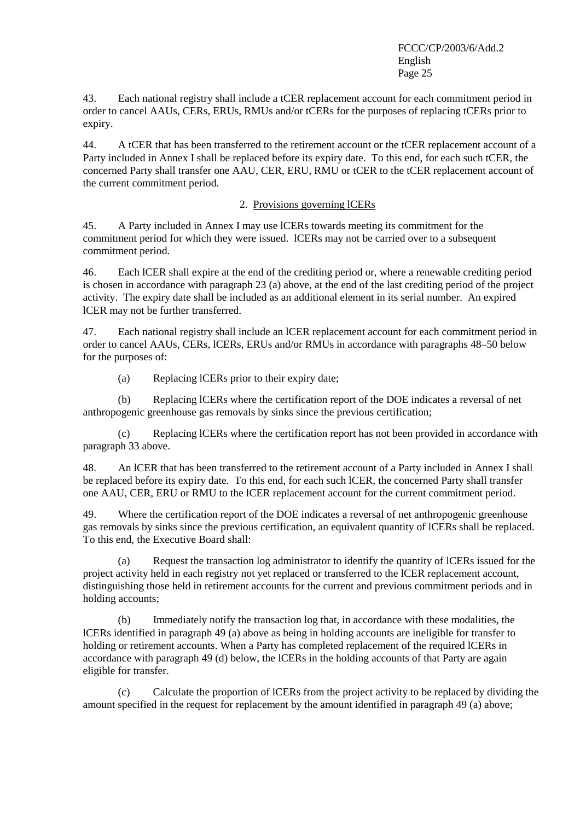43. Each national registry shall include a tCER replacement account for each commitment period in order to cancel AAUs, CERs, ERUs, RMUs and/or tCERs for the purposes of replacing tCERs prior to expiry.

44. A tCER that has been transferred to the retirement account or the tCER replacement account of a Party included in Annex I shall be replaced before its expiry date. To this end, for each such tCER, the concerned Party shall transfer one AAU, CER, ERU, RMU or tCER to the tCER replacement account of the current commitment period.

### 2. Provisions governing lCERs

45. A Party included in Annex I may use lCERs towards meeting its commitment for the commitment period for which they were issued. lCERs may not be carried over to a subsequent commitment period.

46. Each lCER shall expire at the end of the crediting period or, where a renewable crediting period is chosen in accordance with paragraph 23 (a) above, at the end of the last crediting period of the project activity. The expiry date shall be included as an additional element in its serial number. An expired lCER may not be further transferred.

47. Each national registry shall include an lCER replacement account for each commitment period in order to cancel AAUs, CERs, lCERs, ERUs and/or RMUs in accordance with paragraphs 48–50 below for the purposes of:

(a) Replacing lCERs prior to their expiry date;

(b) Replacing lCERs where the certification report of the DOE indicates a reversal of net anthropogenic greenhouse gas removals by sinks since the previous certification;

(c) Replacing lCERs where the certification report has not been provided in accordance with paragraph 33 above.

48. An lCER that has been transferred to the retirement account of a Party included in Annex I shall be replaced before its expiry date. To this end, for each such lCER, the concerned Party shall transfer one AAU, CER, ERU or RMU to the lCER replacement account for the current commitment period.

49. Where the certification report of the DOE indicates a reversal of net anthropogenic greenhouse gas removals by sinks since the previous certification, an equivalent quantity of lCERs shall be replaced. To this end, the Executive Board shall:

(a) Request the transaction log administrator to identify the quantity of lCERs issued for the project activity held in each registry not yet replaced or transferred to the lCER replacement account, distinguishing those held in retirement accounts for the current and previous commitment periods and in holding accounts;

(b) Immediately notify the transaction log that, in accordance with these modalities, the lCERs identified in paragraph 49 (a) above as being in holding accounts are ineligible for transfer to holding or retirement accounts. When a Party has completed replacement of the required lCERs in accordance with paragraph 49 (d) below, the lCERs in the holding accounts of that Party are again eligible for transfer.

(c) Calculate the proportion of lCERs from the project activity to be replaced by dividing the amount specified in the request for replacement by the amount identified in paragraph 49 (a) above;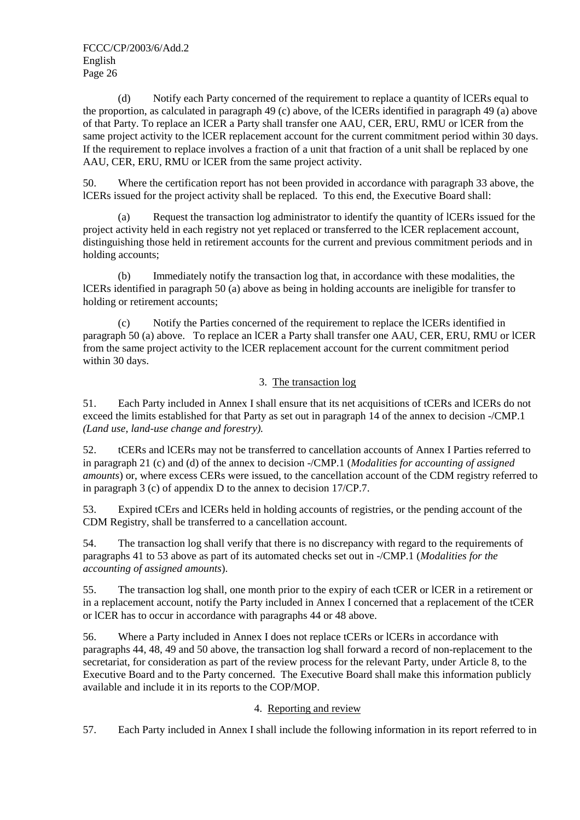(d) Notify each Party concerned of the requirement to replace a quantity of lCERs equal to the proportion, as calculated in paragraph 49 (c) above, of the lCERs identified in paragraph 49 (a) above of that Party. To replace an lCER a Party shall transfer one AAU, CER, ERU, RMU or lCER from the same project activity to the lCER replacement account for the current commitment period within 30 days. If the requirement to replace involves a fraction of a unit that fraction of a unit shall be replaced by one AAU, CER, ERU, RMU or lCER from the same project activity.

50. Where the certification report has not been provided in accordance with paragraph 33 above, the lCERs issued for the project activity shall be replaced. To this end, the Executive Board shall:

(a) Request the transaction log administrator to identify the quantity of lCERs issued for the project activity held in each registry not yet replaced or transferred to the lCER replacement account, distinguishing those held in retirement accounts for the current and previous commitment periods and in holding accounts;

(b) Immediately notify the transaction log that, in accordance with these modalities, the lCERs identified in paragraph 50 (a) above as being in holding accounts are ineligible for transfer to holding or retirement accounts;

(c) Notify the Parties concerned of the requirement to replace the lCERs identified in paragraph 50 (a) above. To replace an lCER a Party shall transfer one AAU, CER, ERU, RMU or lCER from the same project activity to the lCER replacement account for the current commitment period within 30 days.

## 3. The transaction log

51. Each Party included in Annex I shall ensure that its net acquisitions of tCERs and lCERs do not exceed the limits established for that Party as set out in paragraph 14 of the annex to decision -/CMP.1 *(Land use, land-use change and forestry).*

52. tCERs and lCERs may not be transferred to cancellation accounts of Annex I Parties referred to in paragraph 21 (c) and (d) of the annex to decision -/CMP.1 (*Modalities for accounting of assigned amounts*) or, where excess CERs were issued, to the cancellation account of the CDM registry referred to in paragraph 3 (c) of appendix D to the annex to decision 17/CP.7.

53. Expired tCErs and lCERs held in holding accounts of registries, or the pending account of the CDM Registry, shall be transferred to a cancellation account.

54. The transaction log shall verify that there is no discrepancy with regard to the requirements of paragraphs 41 to 53 above as part of its automated checks set out in -/CMP.1 (*Modalities for the accounting of assigned amounts*).

55. The transaction log shall, one month prior to the expiry of each tCER or lCER in a retirement or in a replacement account, notify the Party included in Annex I concerned that a replacement of the tCER or lCER has to occur in accordance with paragraphs 44 or 48 above.

56. Where a Party included in Annex I does not replace tCERs or lCERs in accordance with paragraphs 44, 48, 49 and 50 above, the transaction log shall forward a record of non-replacement to the secretariat, for consideration as part of the review process for the relevant Party, under Article 8, to the Executive Board and to the Party concerned. The Executive Board shall make this information publicly available and include it in its reports to the COP/MOP.

## 4. Reporting and review

57. Each Party included in Annex I shall include the following information in its report referred to in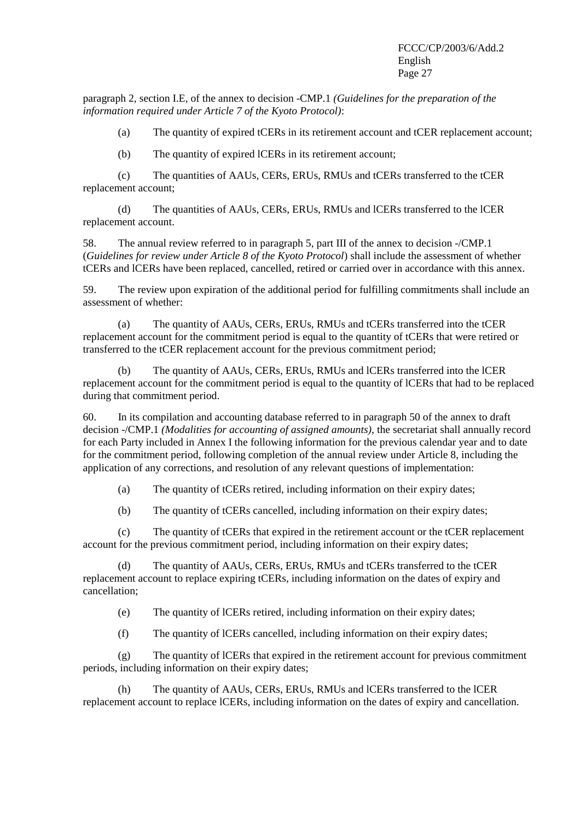paragraph 2, section I.E, of the annex to decision -CMP.1 *(Guidelines for the preparation of the information required under Article 7 of the Kyoto Protocol)*:

(a) The quantity of expired tCERs in its retirement account and tCER replacement account;

(b) The quantity of expired lCERs in its retirement account;

(c) The quantities of AAUs, CERs, ERUs, RMUs and tCERs transferred to the tCER replacement account;

(d) The quantities of AAUs, CERs, ERUs, RMUs and lCERs transferred to the lCER replacement account.

58. The annual review referred to in paragraph 5, part III of the annex to decision -/CMP.1 (*Guidelines for review under Article 8 of the Kyoto Protocol*) shall include the assessment of whether tCERs and lCERs have been replaced, cancelled, retired or carried over in accordance with this annex.

59. The review upon expiration of the additional period for fulfilling commitments shall include an assessment of whether:

(a) The quantity of AAUs, CERs, ERUs, RMUs and tCERs transferred into the tCER replacement account for the commitment period is equal to the quantity of tCERs that were retired or transferred to the tCER replacement account for the previous commitment period;

(b) The quantity of AAUs, CERs, ERUs, RMUs and lCERs transferred into the lCER replacement account for the commitment period is equal to the quantity of lCERs that had to be replaced during that commitment period.

60. In its compilation and accounting database referred to in paragraph 50 of the annex to draft decision -/CMP.1 *(Modalities for accounting of assigned amounts)*, the secretariat shall annually record for each Party included in Annex I the following information for the previous calendar year and to date for the commitment period, following completion of the annual review under Article 8, including the application of any corrections, and resolution of any relevant questions of implementation:

(a) The quantity of tCERs retired, including information on their expiry dates;

(b) The quantity of tCERs cancelled, including information on their expiry dates;

(c) The quantity of tCERs that expired in the retirement account or the tCER replacement account for the previous commitment period, including information on their expiry dates;

(d) The quantity of AAUs, CERs, ERUs, RMUs and tCERs transferred to the tCER replacement account to replace expiring tCERs, including information on the dates of expiry and cancellation;

(e) The quantity of lCERs retired, including information on their expiry dates;

(f) The quantity of lCERs cancelled, including information on their expiry dates;

(g) The quantity of lCERs that expired in the retirement account for previous commitment periods, including information on their expiry dates;

(h) The quantity of AAUs, CERs, ERUs, RMUs and lCERs transferred to the lCER replacement account to replace lCERs, including information on the dates of expiry and cancellation.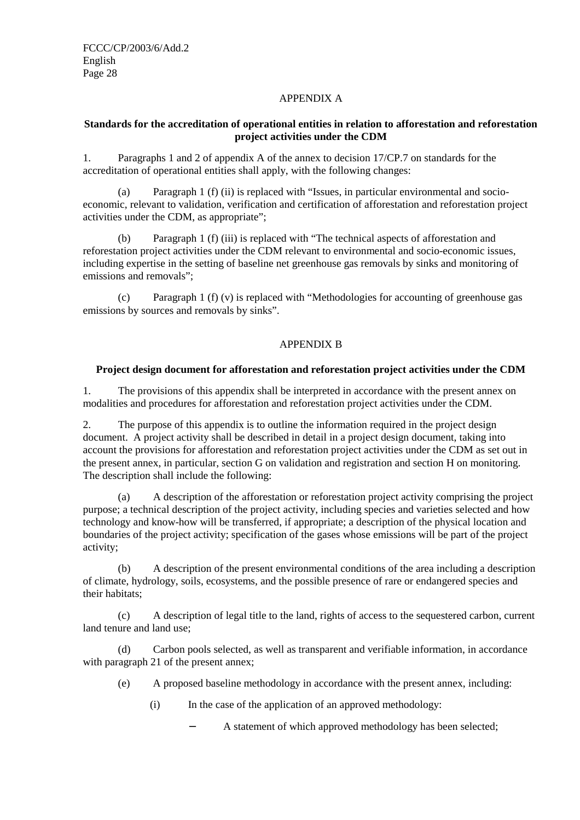## APPENDIX A

## **Standards for the accreditation of operational entities in relation to afforestation and reforestation project activities under the CDM**

1. Paragraphs 1 and 2 of appendix A of the annex to decision 17/CP.7 on standards for the accreditation of operational entities shall apply, with the following changes:

(a) Paragraph 1 (f) (ii) is replaced with "Issues, in particular environmental and socioeconomic, relevant to validation, verification and certification of afforestation and reforestation project activities under the CDM, as appropriate";

(b) Paragraph 1 (f) (iii) is replaced with "The technical aspects of afforestation and reforestation project activities under the CDM relevant to environmental and socio-economic issues, including expertise in the setting of baseline net greenhouse gas removals by sinks and monitoring of emissions and removals";

(c) Paragraph 1 (f) (v) is replaced with "Methodologies for accounting of greenhouse gas emissions by sources and removals by sinks".

### APPENDIX B

#### **Project design document for afforestation and reforestation project activities under the CDM**

1. The provisions of this appendix shall be interpreted in accordance with the present annex on modalities and procedures for afforestation and reforestation project activities under the CDM.

2. The purpose of this appendix is to outline the information required in the project design document. A project activity shall be described in detail in a project design document, taking into account the provisions for afforestation and reforestation project activities under the CDM as set out in the present annex, in particular, section G on validation and registration and section H on monitoring. The description shall include the following:

(a) A description of the afforestation or reforestation project activity comprising the project purpose; a technical description of the project activity, including species and varieties selected and how technology and know-how will be transferred, if appropriate; a description of the physical location and boundaries of the project activity; specification of the gases whose emissions will be part of the project activity;

(b) A description of the present environmental conditions of the area including a description of climate, hydrology, soils, ecosystems, and the possible presence of rare or endangered species and their habitats;

(c) A description of legal title to the land, rights of access to the sequestered carbon, current land tenure and land use;

(d) Carbon pools selected, as well as transparent and verifiable information, in accordance with paragraph 21 of the present annex;

- (e) A proposed baseline methodology in accordance with the present annex, including:
	- (i) In the case of the application of an approved methodology:
		- A statement of which approved methodology has been selected;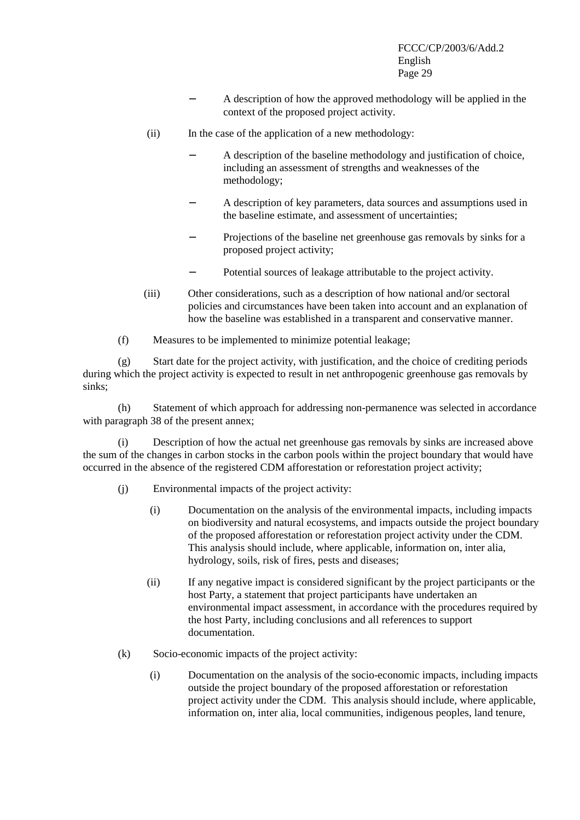- A description of how the approved methodology will be applied in the context of the proposed project activity.
- (ii) In the case of the application of a new methodology:
	- A description of the baseline methodology and justification of choice, including an assessment of strengths and weaknesses of the methodology;
	- A description of key parameters, data sources and assumptions used in the baseline estimate, and assessment of uncertainties;
	- Projections of the baseline net greenhouse gas removals by sinks for a proposed project activity;
	- Potential sources of leakage attributable to the project activity.
- (iii) Other considerations, such as a description of how national and/or sectoral policies and circumstances have been taken into account and an explanation of how the baseline was established in a transparent and conservative manner.
- (f) Measures to be implemented to minimize potential leakage;

(g) Start date for the project activity, with justification, and the choice of crediting periods during which the project activity is expected to result in net anthropogenic greenhouse gas removals by sinks;

(h) Statement of which approach for addressing non-permanence was selected in accordance with paragraph 38 of the present annex;

(i) Description of how the actual net greenhouse gas removals by sinks are increased above the sum of the changes in carbon stocks in the carbon pools within the project boundary that would have occurred in the absence of the registered CDM afforestation or reforestation project activity;

- (j) Environmental impacts of the project activity:
	- (i) Documentation on the analysis of the environmental impacts, including impacts on biodiversity and natural ecosystems, and impacts outside the project boundary of the proposed afforestation or reforestation project activity under the CDM. This analysis should include, where applicable, information on, inter alia, hydrology, soils, risk of fires, pests and diseases;
	- (ii) If any negative impact is considered significant by the project participants or the host Party, a statement that project participants have undertaken an environmental impact assessment, in accordance with the procedures required by the host Party, including conclusions and all references to support documentation.
- (k) Socio-economic impacts of the project activity:
	- (i) Documentation on the analysis of the socio-economic impacts, including impacts outside the project boundary of the proposed afforestation or reforestation project activity under the CDM. This analysis should include, where applicable, information on, inter alia, local communities, indigenous peoples, land tenure,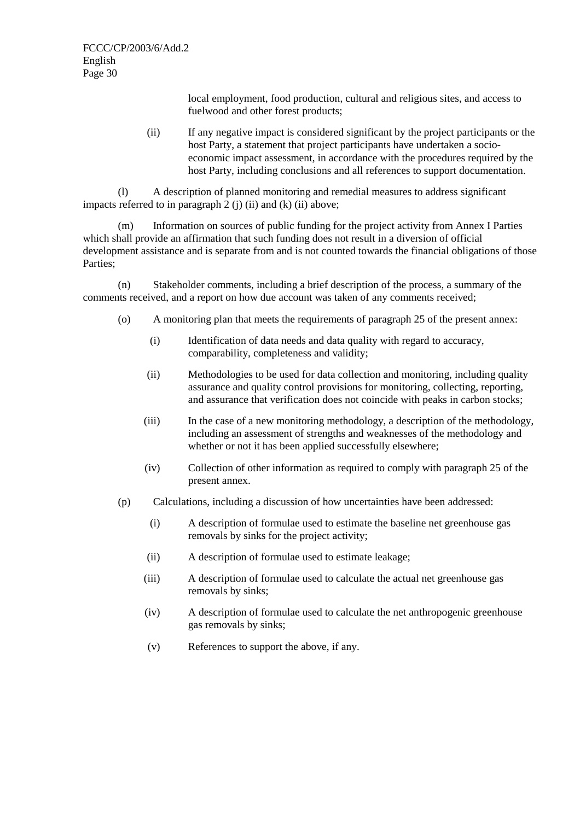local employment, food production, cultural and religious sites, and access to fuelwood and other forest products;

(ii) If any negative impact is considered significant by the project participants or the host Party, a statement that project participants have undertaken a socioeconomic impact assessment, in accordance with the procedures required by the host Party, including conclusions and all references to support documentation.

(l) A description of planned monitoring and remedial measures to address significant impacts referred to in paragraph  $2$  (j) (ii) and (k) (ii) above;

(m) Information on sources of public funding for the project activity from Annex I Parties which shall provide an affirmation that such funding does not result in a diversion of official development assistance and is separate from and is not counted towards the financial obligations of those Parties;

(n) Stakeholder comments, including a brief description of the process, a summary of the comments received, and a report on how due account was taken of any comments received;

- (o) A monitoring plan that meets the requirements of paragraph 25 of the present annex:
	- (i) Identification of data needs and data quality with regard to accuracy, comparability, completeness and validity;
	- (ii) Methodologies to be used for data collection and monitoring, including quality assurance and quality control provisions for monitoring, collecting, reporting, and assurance that verification does not coincide with peaks in carbon stocks;
	- (iii) In the case of a new monitoring methodology, a description of the methodology, including an assessment of strengths and weaknesses of the methodology and whether or not it has been applied successfully elsewhere;
	- (iv) Collection of other information as required to comply with paragraph 25 of the present annex.
- (p) Calculations, including a discussion of how uncertainties have been addressed:
	- (i) A description of formulae used to estimate the baseline net greenhouse gas removals by sinks for the project activity;
	- (ii) A description of formulae used to estimate leakage;
	- (iii) A description of formulae used to calculate the actual net greenhouse gas removals by sinks;
	- (iv) A description of formulae used to calculate the net anthropogenic greenhouse gas removals by sinks;
	- (v) References to support the above, if any.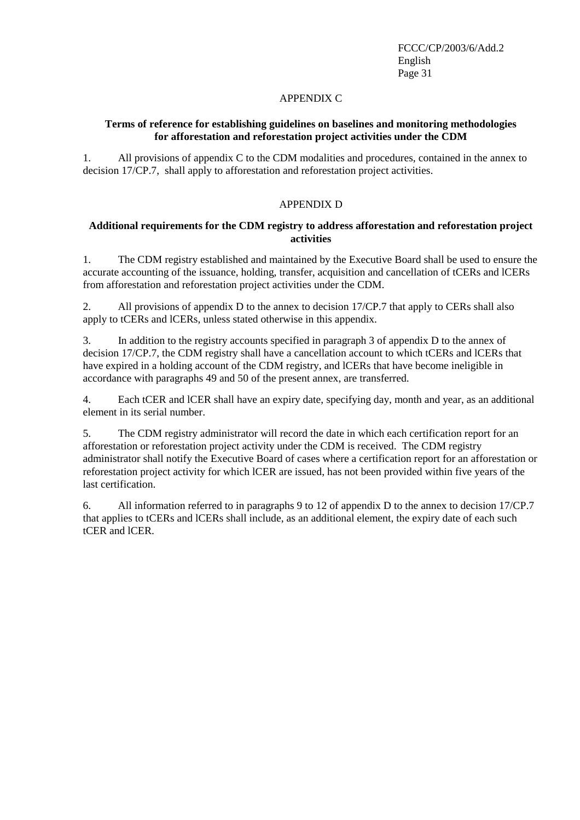### APPENDIX C

## **Terms of reference for establishing guidelines on baselines and monitoring methodologies for afforestation and reforestation project activities under the CDM**

1. All provisions of appendix C to the CDM modalities and procedures, contained in the annex to decision 17/CP.7, shall apply to afforestation and reforestation project activities.

### APPENDIX D

### **Additional requirements for the CDM registry to address afforestation and reforestation project activities**

1. The CDM registry established and maintained by the Executive Board shall be used to ensure the accurate accounting of the issuance, holding, transfer, acquisition and cancellation of tCERs and lCERs from afforestation and reforestation project activities under the CDM.

2. All provisions of appendix D to the annex to decision 17/CP.7 that apply to CERs shall also apply to tCERs and lCERs, unless stated otherwise in this appendix.

3. In addition to the registry accounts specified in paragraph 3 of appendix D to the annex of decision 17/CP.7, the CDM registry shall have a cancellation account to which tCERs and lCERs that have expired in a holding account of the CDM registry, and lCERs that have become ineligible in accordance with paragraphs 49 and 50 of the present annex, are transferred.

4. Each tCER and lCER shall have an expiry date, specifying day, month and year, as an additional element in its serial number.

5. The CDM registry administrator will record the date in which each certification report for an afforestation or reforestation project activity under the CDM is received. The CDM registry administrator shall notify the Executive Board of cases where a certification report for an afforestation or reforestation project activity for which lCER are issued, has not been provided within five years of the last certification.

6. All information referred to in paragraphs 9 to 12 of appendix D to the annex to decision 17/CP.7 that applies to tCERs and lCERs shall include, as an additional element, the expiry date of each such tCER and lCER.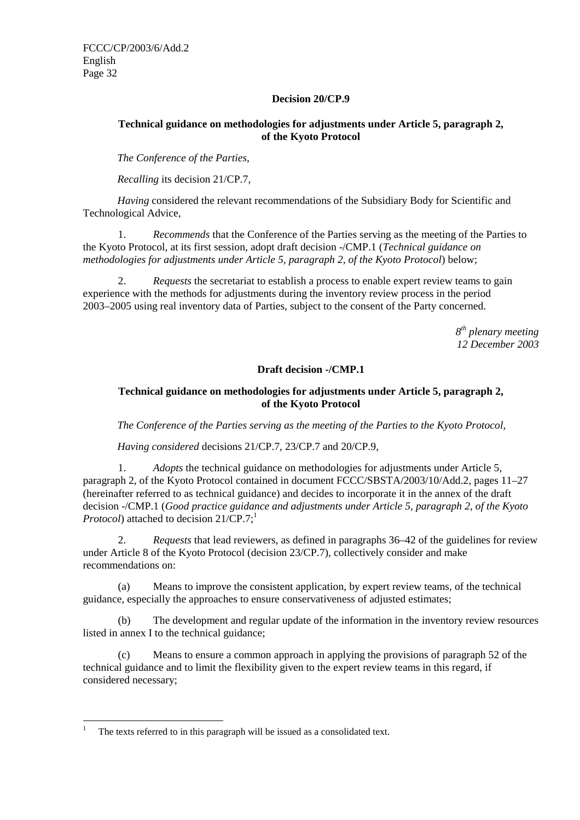## **Decision 20/CP.9**

## **Technical guidance on methodologies for adjustments under Article 5, paragraph 2, of the Kyoto Protocol**

*The Conference of the Parties,* 

*Recalling* its decision 21/CP.7,

*Having* considered the relevant recommendations of the Subsidiary Body for Scientific and Technological Advice,

1. *Recommends* that the Conference of the Parties serving as the meeting of the Parties to the Kyoto Protocol, at its first session, adopt draft decision -/CMP.1 (*Technical guidance on methodologies for adjustments under Article 5, paragraph 2, of the Kyoto Protocol*) below;

2. *Requests* the secretariat to establish a process to enable expert review teams to gain experience with the methods for adjustments during the inventory review process in the period 2003–2005 using real inventory data of Parties, subject to the consent of the Party concerned.

> *8th plenary meeting 12 December 2003*

## **Draft decision -/CMP.1**

## **Technical guidance on methodologies for adjustments under Article 5, paragraph 2, of the Kyoto Protocol**

*The Conference of the Parties serving as the meeting of the Parties to the Kyoto Protocol,* 

*Having considered* decisions 21/CP.7, 23/CP.7 and 20/CP.9*,*

1. *Adopts* the technical guidance on methodologies for adjustments under Article 5, paragraph 2, of the Kyoto Protocol contained in document FCCC/SBSTA/2003/10/Add.2, pages 11–27 (hereinafter referred to as technical guidance) and decides to incorporate it in the annex of the draft decision -/CMP.1 (*Good practice guidance and adjustments under Article 5, paragraph 2, of the Kyoto Protocol*) attached to decision 21/CP.7;<sup>1</sup>

2. *Requests* that lead reviewers, as defined in paragraphs 36–42 of the guidelines for review under Article 8 of the Kyoto Protocol (decision 23/CP.7), collectively consider and make recommendations on:

(a) Means to improve the consistent application, by expert review teams, of the technical guidance, especially the approaches to ensure conservativeness of adjusted estimates;

(b) The development and regular update of the information in the inventory review resources listed in annex I to the technical guidance;

(c) Means to ensure a common approach in applying the provisions of paragraph 52 of the technical guidance and to limit the flexibility given to the expert review teams in this regard, if considered necessary;

 $\overline{a}$ 

<sup>1</sup> The texts referred to in this paragraph will be issued as a consolidated text.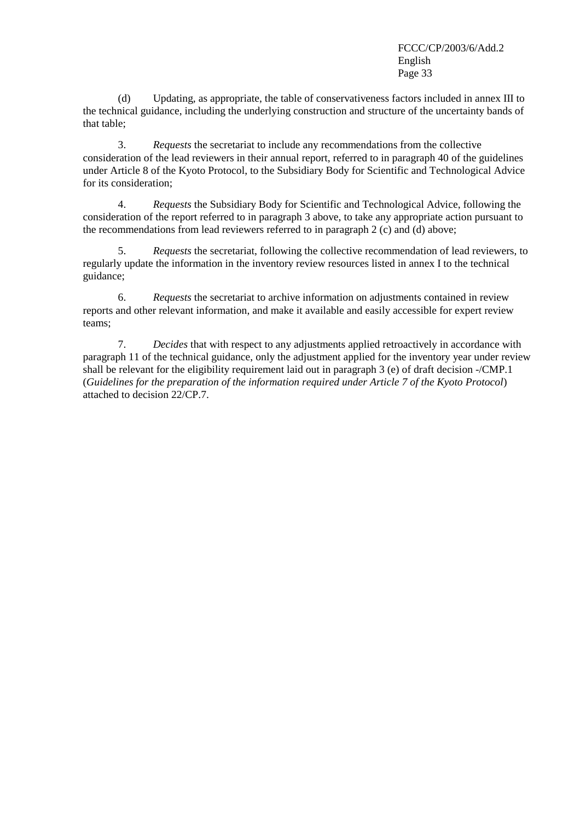(d) Updating, as appropriate, the table of conservativeness factors included in annex III to the technical guidance, including the underlying construction and structure of the uncertainty bands of that table;

3. *Requests* the secretariat to include any recommendations from the collective consideration of the lead reviewers in their annual report, referred to in paragraph 40 of the guidelines under Article 8 of the Kyoto Protocol, to the Subsidiary Body for Scientific and Technological Advice for its consideration;

4. *Requests* the Subsidiary Body for Scientific and Technological Advice, following the consideration of the report referred to in paragraph 3 above, to take any appropriate action pursuant to the recommendations from lead reviewers referred to in paragraph 2 (c) and (d) above;

5. *Requests* the secretariat, following the collective recommendation of lead reviewers, to regularly update the information in the inventory review resources listed in annex I to the technical guidance;

6. *Requests* the secretariat to archive information on adjustments contained in review reports and other relevant information, and make it available and easily accessible for expert review teams;

7. *Decides* that with respect to any adjustments applied retroactively in accordance with paragraph 11 of the technical guidance, only the adjustment applied for the inventory year under review shall be relevant for the eligibility requirement laid out in paragraph 3 (e) of draft decision -/CMP.1 (*Guidelines for the preparation of the information required under Article 7 of the Kyoto Protocol*) attached to decision 22/CP.7.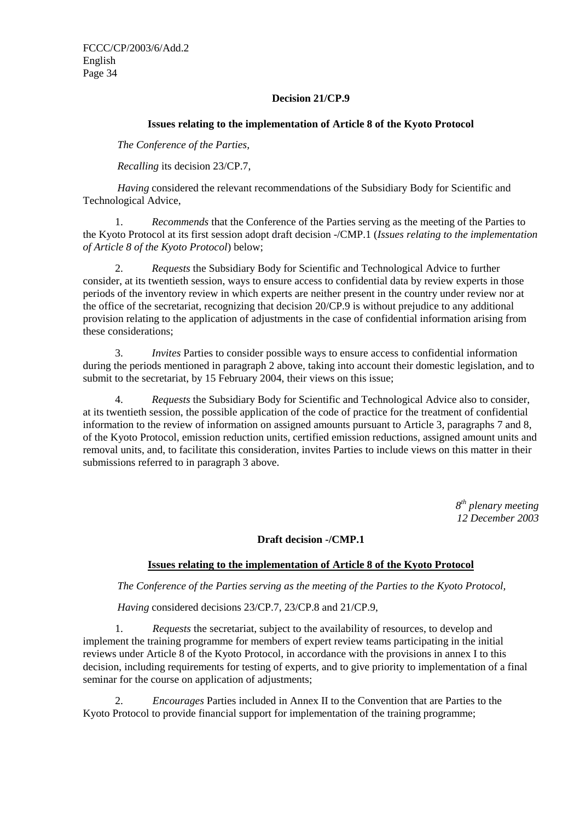## **Decision 21/CP.9**

### **Issues relating to the implementation of Article 8 of the Kyoto Protocol**

*The Conference of the Parties,* 

*Recalling* its decision 23/CP.7,

*Having* considered the relevant recommendations of the Subsidiary Body for Scientific and Technological Advice,

1. *Recommends* that the Conference of the Parties serving as the meeting of the Parties to the Kyoto Protocol at its first session adopt draft decision -/CMP.1 (*Issues relating to the implementation of Article 8 of the Kyoto Protocol*) below;

2. *Requests* the Subsidiary Body for Scientific and Technological Advice to further consider, at its twentieth session, ways to ensure access to confidential data by review experts in those periods of the inventory review in which experts are neither present in the country under review nor at the office of the secretariat, recognizing that decision 20/CP.9 is without prejudice to any additional provision relating to the application of adjustments in the case of confidential information arising from these considerations;

3. *Invites* Parties to consider possible ways to ensure access to confidential information during the periods mentioned in paragraph 2 above, taking into account their domestic legislation, and to submit to the secretariat, by 15 February 2004, their views on this issue;

4. *Requests* the Subsidiary Body for Scientific and Technological Advice also to consider, at its twentieth session, the possible application of the code of practice for the treatment of confidential information to the review of information on assigned amounts pursuant to Article 3, paragraphs 7 and 8, of the Kyoto Protocol, emission reduction units, certified emission reductions, assigned amount units and removal units, and, to facilitate this consideration, invites Parties to include views on this matter in their submissions referred to in paragraph 3 above.

> *8th plenary meeting 12 December 2003*

### **Draft decision -/CMP.1**

## **Issues relating to the implementation of Article 8 of the Kyoto Protocol**

*The Conference of the Parties serving as the meeting of the Parties to the Kyoto Protocol,* 

*Having* considered decisions 23/CP.7, 23/CP.8 and 21/CP.9,

1. *Requests* the secretariat, subject to the availability of resources, to develop and implement the training programme for members of expert review teams participating in the initial reviews under Article 8 of the Kyoto Protocol, in accordance with the provisions in annex I to this decision, including requirements for testing of experts, and to give priority to implementation of a final seminar for the course on application of adjustments;

2. *Encourages* Parties included in Annex II to the Convention that are Parties to the Kyoto Protocol to provide financial support for implementation of the training programme;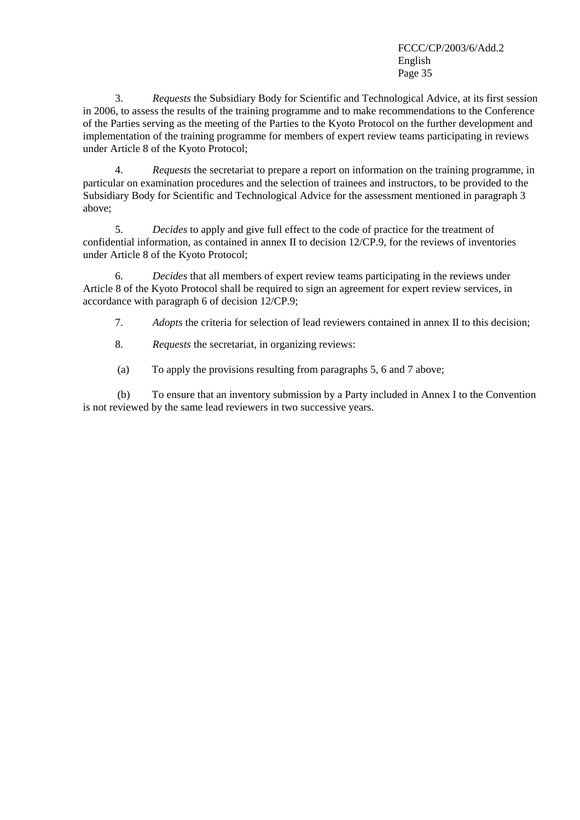3. *Requests* the Subsidiary Body for Scientific and Technological Advice, at its first session in 2006, to assess the results of the training programme and to make recommendations to the Conference of the Parties serving as the meeting of the Parties to the Kyoto Protocol on the further development and implementation of the training programme for members of expert review teams participating in reviews under Article 8 of the Kyoto Protocol;

4. *Requests* the secretariat to prepare a report on information on the training programme, in particular on examination procedures and the selection of trainees and instructors, to be provided to the Subsidiary Body for Scientific and Technological Advice for the assessment mentioned in paragraph 3 above;

5. *Decides* to apply and give full effect to the code of practice for the treatment of confidential information, as contained in annex II to decision 12/CP.9, for the reviews of inventories under Article 8 of the Kyoto Protocol;

6. *Decides* that all members of expert review teams participating in the reviews under Article 8 of the Kyoto Protocol shall be required to sign an agreement for expert review services, in accordance with paragraph 6 of decision 12/CP.9;

7. *Adopts* the criteria for selection of lead reviewers contained in annex II to this decision;

8. *Requests* the secretariat, in organizing reviews:

(a) To apply the provisions resulting from paragraphs 5, 6 and 7 above;

(b) To ensure that an inventory submission by a Party included in Annex I to the Convention is not reviewed by the same lead reviewers in two successive years.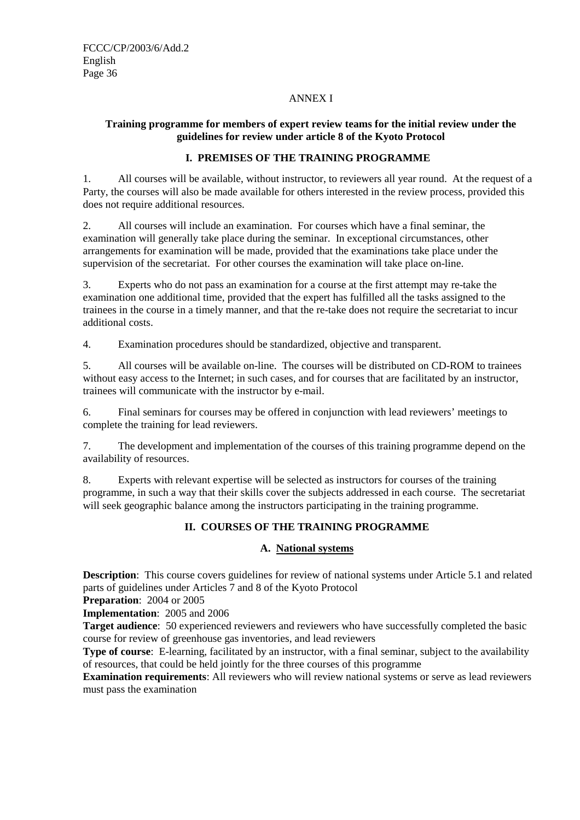## ANNEX I

## **Training programme for members of expert review teams for the initial review under the guidelines for review under article 8 of the Kyoto Protocol**

## **I. PREMISES OF THE TRAINING PROGRAMME**

1. All courses will be available, without instructor, to reviewers all year round. At the request of a Party, the courses will also be made available for others interested in the review process, provided this does not require additional resources.

2. All courses will include an examination. For courses which have a final seminar, the examination will generally take place during the seminar. In exceptional circumstances, other arrangements for examination will be made, provided that the examinations take place under the supervision of the secretariat. For other courses the examination will take place on-line.

3. Experts who do not pass an examination for a course at the first attempt may re-take the examination one additional time, provided that the expert has fulfilled all the tasks assigned to the trainees in the course in a timely manner, and that the re-take does not require the secretariat to incur additional costs.

4. Examination procedures should be standardized, objective and transparent.

5. All courses will be available on-line. The courses will be distributed on CD-ROM to trainees without easy access to the Internet; in such cases, and for courses that are facilitated by an instructor, trainees will communicate with the instructor by e-mail.

6. Final seminars for courses may be offered in conjunction with lead reviewers' meetings to complete the training for lead reviewers.

7. The development and implementation of the courses of this training programme depend on the availability of resources.

8. Experts with relevant expertise will be selected as instructors for courses of the training programme, in such a way that their skills cover the subjects addressed in each course. The secretariat will seek geographic balance among the instructors participating in the training programme.

## **II. COURSES OF THE TRAINING PROGRAMME**

### **A. National systems**

**Description:** This course covers guidelines for review of national systems under Article 5.1 and related parts of guidelines under Articles 7 and 8 of the Kyoto Protocol

**Preparation**: 2004 or 2005

**Implementation**: 2005 and 2006

**Target audience**: 50 experienced reviewers and reviewers who have successfully completed the basic course for review of greenhouse gas inventories, and lead reviewers

**Type of course:** E-learning, facilitated by an instructor, with a final seminar, subject to the availability of resources, that could be held jointly for the three courses of this programme

**Examination requirements**: All reviewers who will review national systems or serve as lead reviewers must pass the examination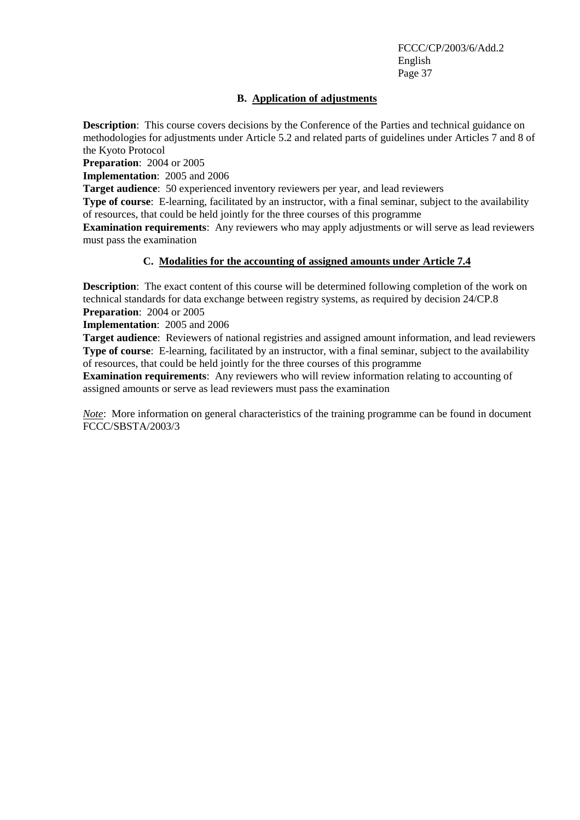## **B. Application of adjustments**

**Description**: This course covers decisions by the Conference of the Parties and technical guidance on methodologies for adjustments under Article 5.2 and related parts of guidelines under Articles 7 and 8 of the Kyoto Protocol

**Preparation**: 2004 or 2005

**Implementation**: 2005 and 2006

**Target audience**: 50 experienced inventory reviewers per year, and lead reviewers

**Type of course:** E-learning, facilitated by an instructor, with a final seminar, subject to the availability of resources, that could be held jointly for the three courses of this programme

**Examination requirements**: Any reviewers who may apply adjustments or will serve as lead reviewers must pass the examination

## **C. Modalities for the accounting of assigned amounts under Article 7.4**

**Description:** The exact content of this course will be determined following completion of the work on technical standards for data exchange between registry systems, as required by decision 24/CP.8 **Preparation**: 2004 or 2005

**Implementation**: 2005 and 2006

**Target audience**: Reviewers of national registries and assigned amount information, and lead reviewers **Type of course**: E-learning, facilitated by an instructor, with a final seminar, subject to the availability of resources, that could be held jointly for the three courses of this programme

**Examination requirements**: Any reviewers who will review information relating to accounting of assigned amounts or serve as lead reviewers must pass the examination

*Note*: More information on general characteristics of the training programme can be found in document FCCC/SBSTA/2003/3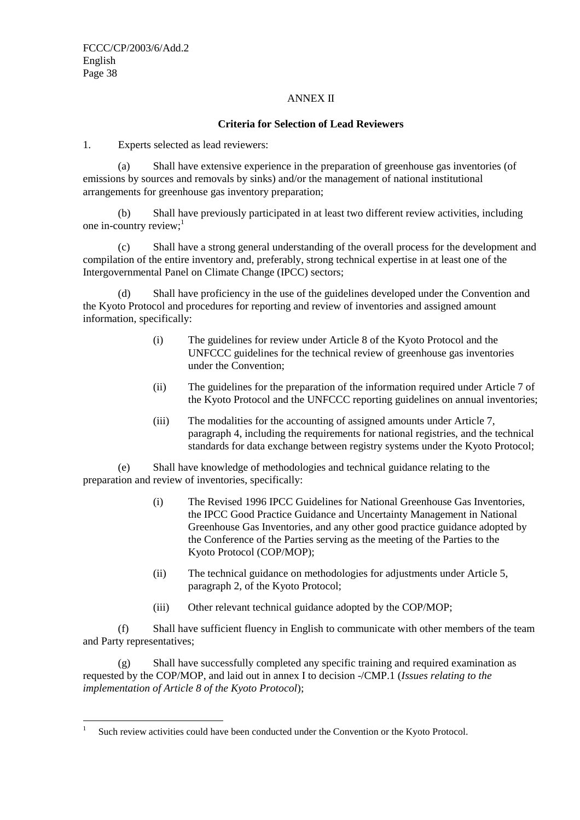### ANNEX II

## **Criteria for Selection of Lead Reviewers**

1. Experts selected as lead reviewers:

(a) Shall have extensive experience in the preparation of greenhouse gas inventories (of emissions by sources and removals by sinks) and/or the management of national institutional arrangements for greenhouse gas inventory preparation;

(b) Shall have previously participated in at least two different review activities, including one in-country review; $<sup>1</sup>$ </sup>

(c) Shall have a strong general understanding of the overall process for the development and compilation of the entire inventory and, preferably, strong technical expertise in at least one of the Intergovernmental Panel on Climate Change (IPCC) sectors;

(d) Shall have proficiency in the use of the guidelines developed under the Convention and the Kyoto Protocol and procedures for reporting and review of inventories and assigned amount information, specifically:

- (i) The guidelines for review under Article 8 of the Kyoto Protocol and the UNFCCC guidelines for the technical review of greenhouse gas inventories under the Convention;
- (ii) The guidelines for the preparation of the information required under Article 7 of the Kyoto Protocol and the UNFCCC reporting guidelines on annual inventories;
- (iii) The modalities for the accounting of assigned amounts under Article 7, paragraph 4, including the requirements for national registries, and the technical standards for data exchange between registry systems under the Kyoto Protocol;

(e) Shall have knowledge of methodologies and technical guidance relating to the preparation and review of inventories, specifically:

- (i) The Revised 1996 IPCC Guidelines for National Greenhouse Gas Inventories, the IPCC Good Practice Guidance and Uncertainty Management in National Greenhouse Gas Inventories, and any other good practice guidance adopted by the Conference of the Parties serving as the meeting of the Parties to the Kyoto Protocol (COP/MOP);
- (ii) The technical guidance on methodologies for adjustments under Article 5, paragraph 2, of the Kyoto Protocol;
- (iii) Other relevant technical guidance adopted by the COP/MOP;

(f) Shall have sufficient fluency in English to communicate with other members of the team and Party representatives;

(g) Shall have successfully completed any specific training and required examination as requested by the COP/MOP, and laid out in annex I to decision -/CMP.1 (*Issues relating to the implementation of Article 8 of the Kyoto Protocol*);

 $\overline{a}$ 1 Such review activities could have been conducted under the Convention or the Kyoto Protocol.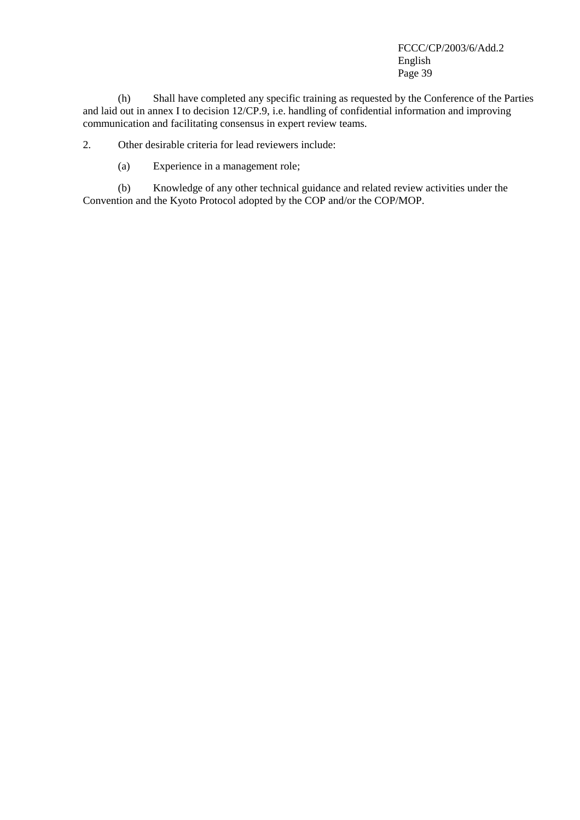(h) Shall have completed any specific training as requested by the Conference of the Parties and laid out in annex I to decision 12/CP.9, i.e. handling of confidential information and improving communication and facilitating consensus in expert review teams.

2. Other desirable criteria for lead reviewers include:

(a) Experience in a management role;

(b) Knowledge of any other technical guidance and related review activities under the Convention and the Kyoto Protocol adopted by the COP and/or the COP/MOP.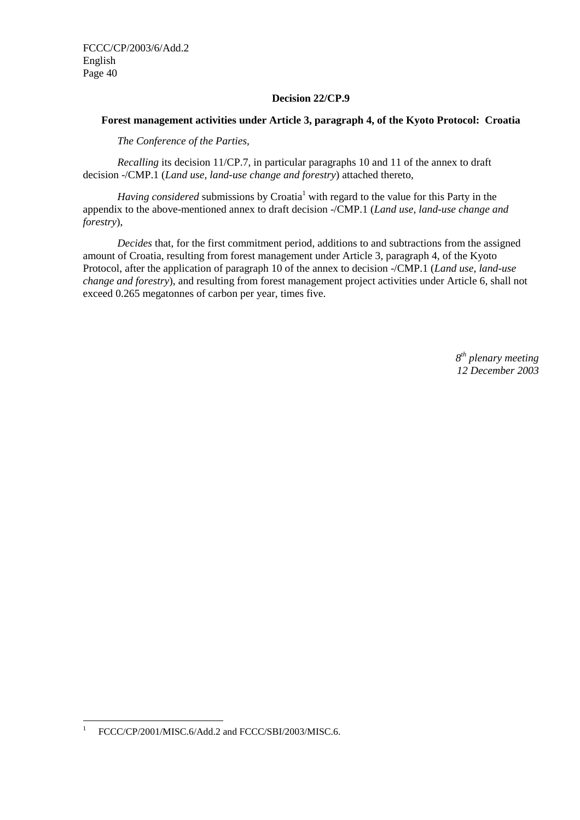### **Decision 22/CP.9**

## **Forest management activities under Article 3, paragraph 4, of the Kyoto Protocol: Croatia**

*The Conference of the Parties,* 

*Recalling* its decision 11/CP.7, in particular paragraphs 10 and 11 of the annex to draft decision -/CMP.1 (*Land use, land-use change and forestry*) attached thereto,

Having considered submissions by Croatia<sup>1</sup> with regard to the value for this Party in the appendix to the above-mentioned annex to draft decision -/CMP.1 (*Land use, land-use change and forestry*),

*Decides* that, for the first commitment period, additions to and subtractions from the assigned amount of Croatia, resulting from forest management under Article 3, paragraph 4, of the Kyoto Protocol, after the application of paragraph 10 of the annex to decision -/CMP.1 (*Land use, land-use change and forestry*), and resulting from forest management project activities under Article 6, shall not exceed 0.265 megatonnes of carbon per year, times five.

> *8th plenary meeting 12 December 2003*

 $\frac{1}{1}$ FCCC/CP/2001/MISC.6/Add.2 and FCCC/SBI/2003/MISC.6.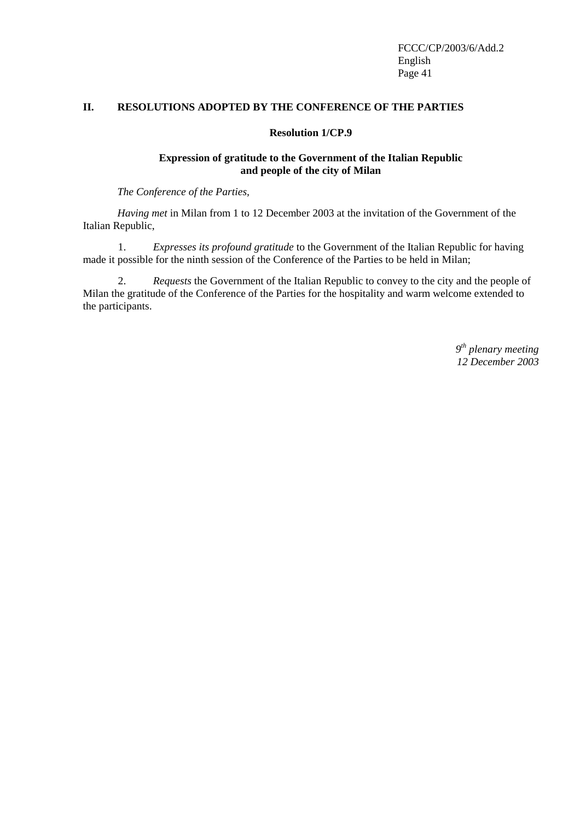### **II. RESOLUTIONS ADOPTED BY THE CONFERENCE OF THE PARTIES**

#### **Resolution 1/CP.9**

#### **Expression of gratitude to the Government of the Italian Republic and people of the city of Milan**

*The Conference of the Parties,* 

*Having met* in Milan from 1 to 12 December 2003 at the invitation of the Government of the Italian Republic,

1. *Expresses its profound gratitude* to the Government of the Italian Republic for having made it possible for the ninth session of the Conference of the Parties to be held in Milan;

2. *Requests* the Government of the Italian Republic to convey to the city and the people of Milan the gratitude of the Conference of the Parties for the hospitality and warm welcome extended to the participants.

> *9th plenary meeting 12 December 2003*